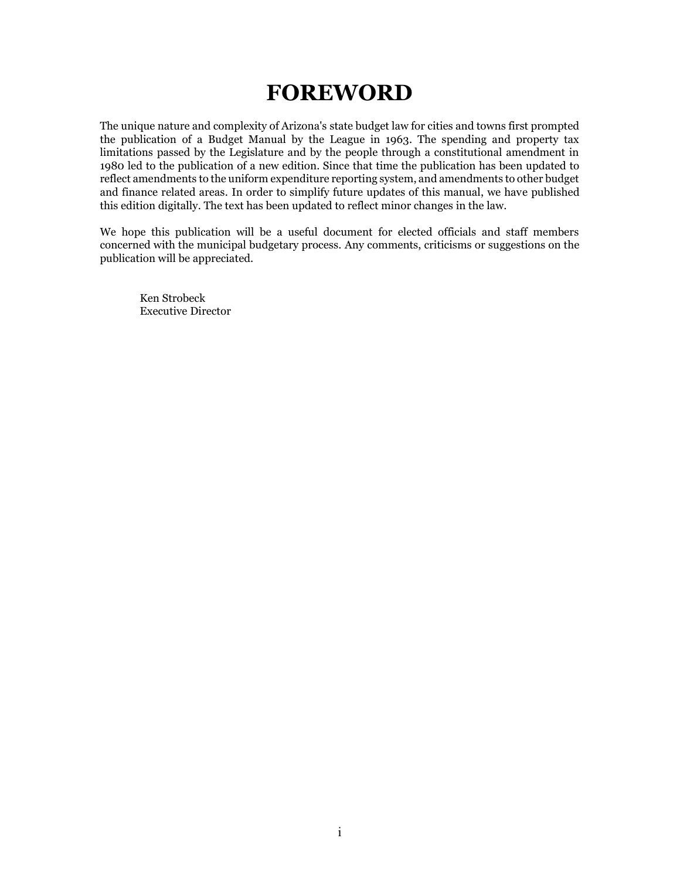## **FOREWORD**

The unique nature and complexity of Arizona's state budget law for cities and towns first prompted the publication of a Budget Manual by the League in 1963. The spending and property tax limitations passed by the Legislature and by the people through a constitutional amendment in 1980 led to the publication of a new edition. Since that time the publication has been updated to reflect amendments to the uniform expenditure reporting system, and amendments to other budget and finance related areas. In order to simplify future updates of this manual, we have published this edition digitally. The text has been updated to reflect minor changes in the law.

We hope this publication will be a useful document for elected officials and staff members concerned with the municipal budgetary process. Any comments, criticisms or suggestions on the publication will be appreciated.

Ken Strobeck Executive Director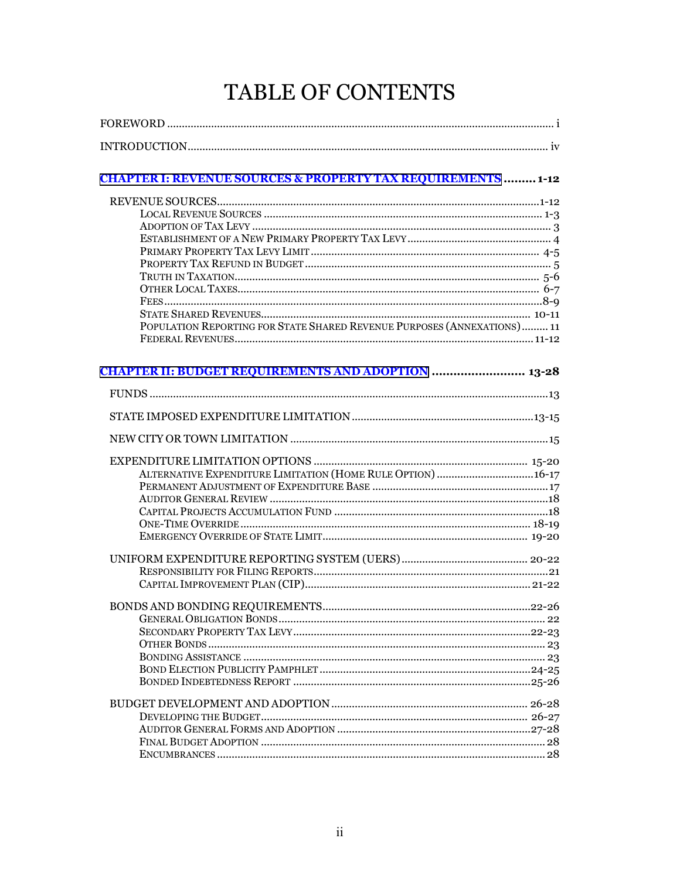# TABLE OF CONTENTS

| <b>CHAPTER I: REVENUE SOURCES &amp; PROPERTY TAX REQUIREMENTS  1-12</b>  |  |
|--------------------------------------------------------------------------|--|
|                                                                          |  |
|                                                                          |  |
|                                                                          |  |
|                                                                          |  |
|                                                                          |  |
|                                                                          |  |
|                                                                          |  |
|                                                                          |  |
|                                                                          |  |
|                                                                          |  |
| POPULATION REPORTING FOR STATE SHARED REVENUE PURPOSES (ANNEXATIONS)  11 |  |
|                                                                          |  |
| <b>CHAPTER II: BUDGET REQUIREMENTS AND ADOPTION  13-28</b>               |  |
|                                                                          |  |
|                                                                          |  |
|                                                                          |  |
|                                                                          |  |
|                                                                          |  |
| ALTERNATIVE EXPENDITURE LIMITATION (HOME RULE OPTION) 16-17              |  |
|                                                                          |  |
|                                                                          |  |
|                                                                          |  |
|                                                                          |  |
|                                                                          |  |
|                                                                          |  |
|                                                                          |  |
|                                                                          |  |
|                                                                          |  |
|                                                                          |  |
|                                                                          |  |
|                                                                          |  |
|                                                                          |  |
|                                                                          |  |
|                                                                          |  |
|                                                                          |  |
|                                                                          |  |
|                                                                          |  |
|                                                                          |  |
|                                                                          |  |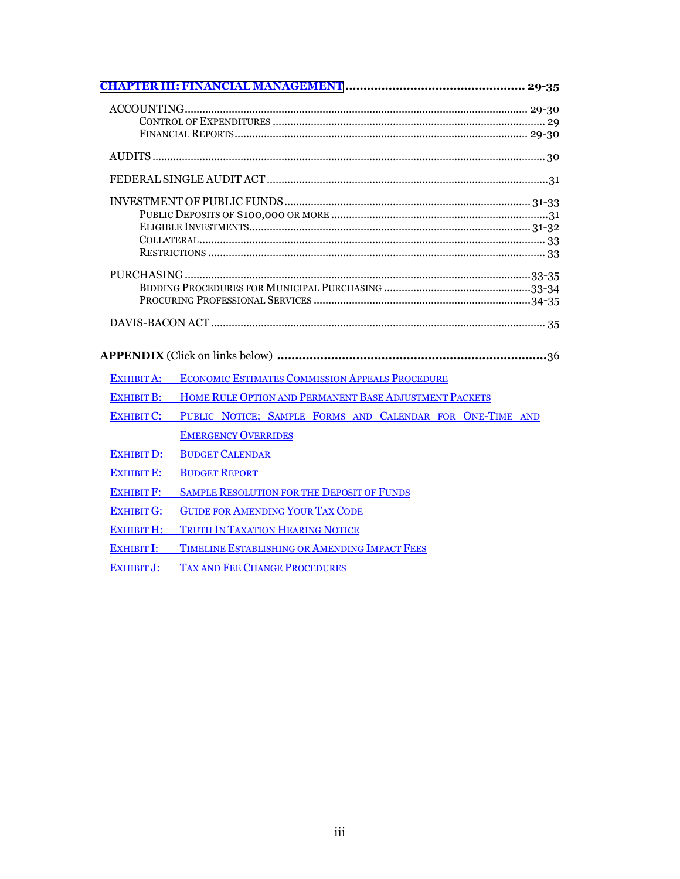| EXHIBIT A:        | ECONOMIC ESTIMATES COMMISSION APPEALS PROCEDURE                   |
|-------------------|-------------------------------------------------------------------|
|                   | EXHIBIT B: HOME RULE OPTION AND PERMANENT BASE ADJUSTMENT PACKETS |
| <b>EXHIBIT C:</b> | PUBLIC NOTICE; SAMPLE FORMS AND CALENDAR FOR ONE-TIME AND         |
|                   | <b>EMERGENCY OVERRIDES</b>                                        |
| <b>EXHIBIT D:</b> | <b>BUDGET CALENDAR</b>                                            |
| <b>EXHIBIT E:</b> | <b>BUDGET REPORT</b>                                              |
| <b>EXHIBIT F:</b> | <b>SAMPLE RESOLUTION FOR THE DEPOSIT OF FUNDS</b>                 |
| <b>EXHIBIT G:</b> | <b>GUIDE FOR AMENDING YOUR TAX CODE</b>                           |
| <b>EXHIBIT H:</b> | TRUTH IN TAXATION HEARING NOTICE                                  |
| <b>EXHIBIT I:</b> | <b>TIMELINE ESTABLISHING OR AMENDING IMPACT FEES</b>              |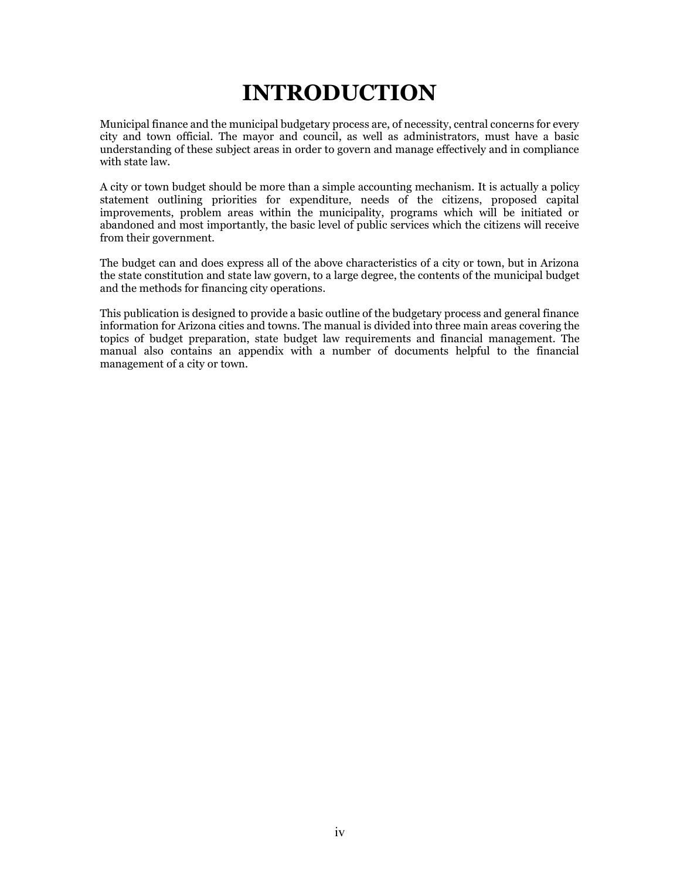# **INTRODUCTION**

<span id="page-3-0"></span>Municipal finance and the municipal budgetary process are, of necessity, central concerns for every city and town official. The mayor and council, as well as administrators, must have a basic understanding of these subject areas in order to govern and manage effectively and in compliance with state law.

A city or town budget should be more than a simple accounting mechanism. It is actually a policy statement outlining priorities for expenditure, needs of the citizens, proposed capital improvements, problem areas within the municipality, programs which will be initiated or abandoned and most importantly, the basic level of public services which the citizens will receive from their government.

The budget can and does express all of the above characteristics of a city or town, but in Arizona the state constitution and state law govern, to a large degree, the contents of the municipal budget and the methods for financing city operations.

This publication is designed to provide a basic outline of the budgetary process and general finance information for Arizona cities and towns. The manual is divided into three main areas covering the topics of budget preparation, state budget law requirements and financial management. The manual also contains an appendix with a number of documents helpful to the financial management of a city or town.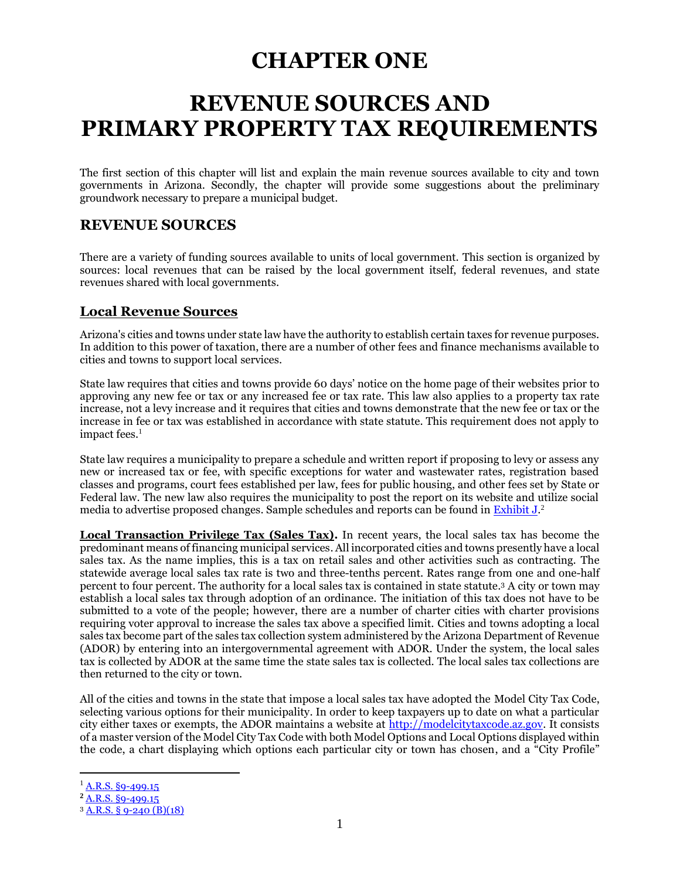## **CHAPTER ONE**

## <span id="page-4-0"></span>**REVENUE SOURCES AND PRIMARY PROPERTY TAX REQUIREMENTS**

The first section of this chapter will list and explain the main revenue sources available to city and town governments in Arizona. Secondly, the chapter will provide some suggestions about the preliminary groundwork necessary to prepare a municipal budget.

### **REVENUE SOURCES**

There are a variety of funding sources available to units of local government. This section is organized by sources: local revenues that can be raised by the local government itself, federal revenues, and state revenues shared with local governments.

#### **Local Revenue Sources**

Arizona's cities and towns under state law have the authority to establish certain taxes for revenue purposes. In addition to this power of taxation, there are a number of other fees and finance mechanisms available to cities and towns to support local services.

State law requires that cities and towns provide 60 days' notice on the home page of their websites prior to approving any new fee or tax or any increased fee or tax rate. This law also applies to a property tax rate increase, not a levy increase and it requires that cities and towns demonstrate that the new fee or tax or the increase in fee or tax was established in accordance with state statute. This requirement does not apply to impact fees.<sup>1</sup>

State law requires a municipality to prepare a schedule and written report if proposing to levy or assess any new or increased tax or fee, with specific exceptions for water and wastewater rates, registration based classes and programs, court fees established per law, fees for public housing, and other fees set by State or Federal law. The new law also requires the municipality to post the report on its website and utilize social media to advertise proposed changes. Sample schedules and reports can be found in **Exhibit J.**<sup>2</sup>

**Local Transaction Privilege Tax (Sales Tax).** In recent years, the local sales tax has become the predominant means of financing municipal services. All incorporated cities and towns presently have a local sales tax. As the name implies, this is a tax on retail sales and other activities such as contracting. The statewide average local sales tax rate is two and three-tenths percent. Rates range from one and one-half percent to four percent. The authority for a local sales tax is contained in state statute. <sup>3</sup> A city or town may establish a local sales tax through adoption of an ordinance. The initiation of this tax does not have to be submitted to a vote of the people; however, there are a number of charter cities with charter provisions requiring voter approval to increase the sales tax above a specified limit. Cities and towns adopting a local sales tax become part of the sales tax collection system administered by the Arizona Department of Revenue (ADOR) by entering into an intergovernmental agreement with ADOR. Under the system, the local sales tax is collected by ADOR at the same time the state sales tax is collected. The local sales tax collections are then returned to the city or town.

All of the cities and towns in the state that impose a local sales tax have adopted the Model City Tax Code, selecting various options for their municipality. In order to keep taxpayers up to date on what a particular city either taxes or exempts, the ADOR maintains a website at [http://modelcitytaxcode.az.gov.](http://modelcitytaxcode.az.gov/) It consists of a master version of the Model City Tax Code with both Model Options and Local Options displayed within the code, a chart displaying which options each particular city or town has chosen, and a "City Profile"

 $^{1}$  [A.R.S. §9-499.15](https://www.azleg.gov/viewdocument/?docName=https://www.azleg.gov/ars/9/00499-15.htm)

**<sup>2</sup>** [A.R.S. §9-499.15](https://www.azleg.gov/viewdocument/?docName=https://www.azleg.gov/ars/9/00499-15.htm)

<sup>3</sup> [A.R.S. §](https://www.azleg.gov/viewdocument/?docName=https://www.azleg.gov/ars/9/00240.htm) 9-240 (B)(18)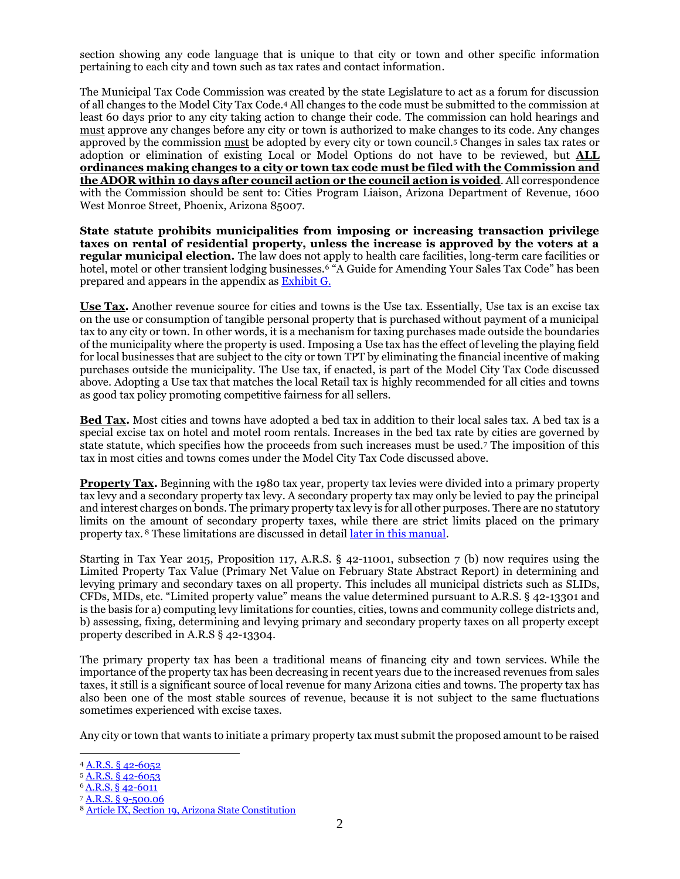section showing any code language that is unique to that city or town and other specific information pertaining to each city and town such as tax rates and contact information.

The Municipal Tax Code Commission was created by the state Legislature to act as a forum for discussion of all changes to the Model City Tax Code. <sup>4</sup> All changes to the code must be submitted to the commission at least 60 days prior to any city taking action to change their code. The commission can hold hearings and must approve any changes before any city or town is authorized to make changes to its code. Any changes approved by the commission must be adopted by every city or town council.<sup>5</sup> Changes in sales tax rates or adoption or elimination of existing Local or Model Options do not have to be reviewed, but **ALL ordinances making changes to a city or town tax code must be filed with the Commission and the ADOR within 10 days after council action or the council action is voided**. All correspondence with the Commission should be sent to: Cities Program Liaison, Arizona Department of Revenue, 1600 West Monroe Street, Phoenix, Arizona 85007.

**State statute prohibits municipalities from imposing or increasing transaction privilege taxes on rental of residential property, unless the increase is approved by the voters at a regular municipal election.** The law does not apply to health care facilities, long-term care facilities or hotel, motel or other transient lodging businesses.<sup>6</sup> "A Guide for Amending Your Sales Tax Code" has been prepared and appears in the appendix a[s Exhibit G.](http://leagueaz.org/publications/budg_fin/2015/EXHIBIT_G.pdf)

**Use Tax.** Another revenue source for cities and towns is the Use tax. Essentially, Use tax is an excise tax on the use or consumption of tangible personal property that is purchased without payment of a municipal tax to any city or town. In other words, it is a mechanism for taxing purchases made outside the boundaries of the municipality where the property is used. Imposing a Use tax has the effect of leveling the playing field for local businesses that are subject to the city or town TPT by eliminating the financial incentive of making purchases outside the municipality. The Use tax, if enacted, is part of the Model City Tax Code discussed above. Adopting a Use tax that matches the local Retail tax is highly recommended for all cities and towns as good tax policy promoting competitive fairness for all sellers.

**Bed Tax.** Most cities and towns have adopted a bed tax in addition to their local sales tax. A bed tax is a special excise tax on hotel and motel room rentals. Increases in the bed tax rate by cities are governed by state statute, which specifies how the proceeds from such increases must be used.<sup>7</sup> The imposition of this tax in most cities and towns comes under the Model City Tax Code discussed above.

**Property Tax.** Beginning with the 1980 tax year, property tax levies were divided into a primary property tax levy and a secondary property tax levy. A secondary property tax may only be levied to pay the principal and interest charges on bonds. The primary property tax levy is for all other purposes. There are no statutory limits on the amount of secondary property taxes, while there are strict limits placed on the primary property tax. <sup>8</sup> These limitations are discussed in detail [later in this manual.](#page-16-1)

Starting in Tax Year 2015, Proposition 117, A.R.S. § 42-11001, subsection 7 (b) now requires using the Limited Property Tax Value (Primary Net Value on February State Abstract Report) in determining and levying primary and secondary taxes on all property. This includes all municipal districts such as SLIDs, CFDs, MIDs, etc. "Limited property value" means the value determined pursuant to A.R.S. § 42-13301 and is the basis for a) computing levy limitations for counties, cities, towns and community college districts and, b) assessing, fixing, determining and levying primary and secondary property taxes on all property except property described in A.R.S § 42-13304.

The primary property tax has been a traditional means of financing city and town services. While the importance of the property tax has been decreasing in recent years due to the increased revenues from sales taxes, it still is a significant source of local revenue for many Arizona cities and towns. The property tax has also been one of the most stable sources of revenue, because it is not subject to the same fluctuations sometimes experienced with excise taxes.

Any city or town that wants to initiate a primary property tax must submit the proposed amount to be raised

 <sup>4</sup> [A.R.S. § 42-6052](https://www.azleg.gov/viewdocument/?docName=https://www.azleg.gov/ars/42/06052.htm)

<sup>5</sup> [A.R.S. § 42-6053](https://www.azleg.gov/viewdocument/?docName=https://www.azleg.gov/ars/42/06053.htm)

<sup>6</sup> A.R.S. [§ 42-6011](https://www.azleg.gov/viewdocument/?docName=https://www.azleg.gov/ars/42/06011.htm)

<sup>7</sup> [A.R.S. § 9-500.06](https://www.azleg.gov/viewdocument/?docName=https://www.azleg.gov/ars/9/00500-06.htm)

<sup>8</sup> [Article IX, Section 19, Arizona State Constitution](https://www.azleg.gov/viewDocument/?docName=http://www.azleg.gov/const/9/19.htm)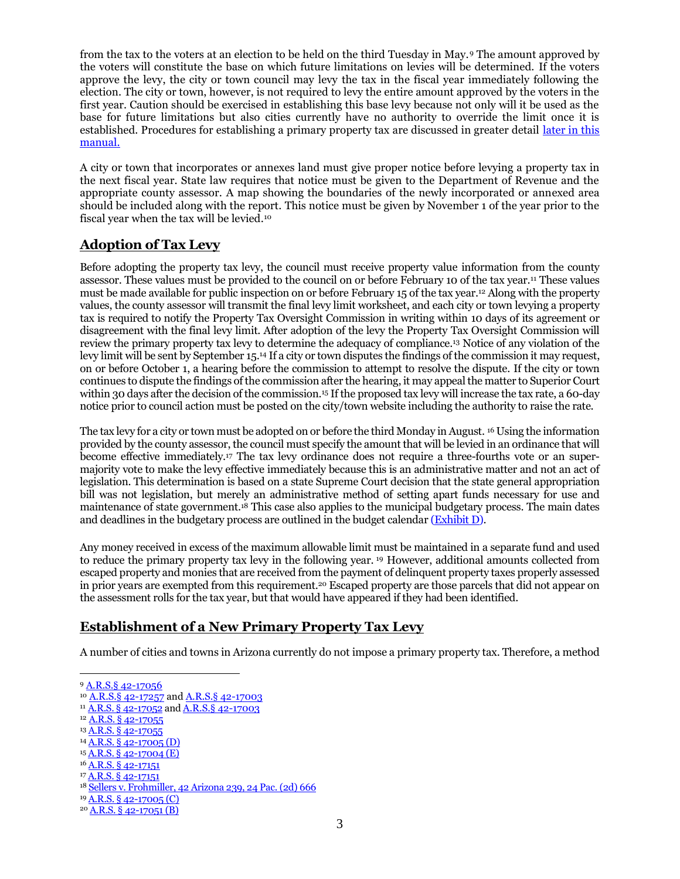from the tax to the voters at an election to be held on the third Tuesday in May.<sup>9</sup> The amount approved by the voters will constitute the base on which future limitations on levies will be determined. If the voters approve the levy, the city or town council may levy the tax in the fiscal year immediately following the election. The city or town, however, is not required to levy the entire amount approved by the voters in the first year. Caution should be exercised in establishing this base levy because not only will it be used as the base for future limitations but also cities currently have no authority to override the limit once it is established. Procedures for establishing a primary property tax are discussed in greater detail [later in this](#page-6-0)  [manual.](#page-6-0)

A city or town that incorporates or annexes land must give proper notice before levying a property tax in the next fiscal year. State law requires that notice must be given to the Department of Revenue and the appropriate county assessor. A map showing the boundaries of the newly incorporated or annexed area should be included along with the report. This notice must be given by November 1 of the year prior to the fiscal year when the tax will be levied.<sup>10</sup>

### **Adoption of Tax Levy**

Before adopting the property tax levy, the council must receive property value information from the county assessor. These values must be provided to the council on or before February 10 of the tax year.<sup>11</sup> These values must be made available for public inspection on or before February 15 of the tax year.<sup>12</sup> Along with the property values, the county assessor will transmit the final levy limit worksheet, and each city or town levying a property tax is required to notify the Property Tax Oversight Commission in writing within 10 days of its agreement or disagreement with the final levy limit. After adoption of the levy the Property Tax Oversight Commission will review the primary property tax levy to determine the adequacy of compliance.<sup>13</sup> Notice of any violation of the levy limit will be sent by September 15.<sup>14</sup> If a city or town disputes the findings of the commission it may request, on or before October 1, a hearing before the commission to attempt to resolve the dispute. If the city or town continues to dispute the findings of the commission after the hearing, it may appeal the matter to Superior Court within 30 days after the decision of the commission.<sup>15</sup> If the proposed tax levy will increase the tax rate, a 60-day notice prior to council action must be posted on the city/town website including the authority to raise the rate.

The tax levy for a city or town must be adopted on or before the third Monday in August. <sup>16</sup> Using the information provided by the county assessor, the council must specify the amount that will be levied in an ordinance that will become effective immediately.<sup>17</sup> The tax levy ordinance does not require a three-fourths vote or an supermajority vote to make the levy effective immediately because this is an administrative matter and not an act of legislation. This determination is based on a state Supreme Court decision that the state general appropriation bill was not legislation, but merely an administrative method of setting apart funds necessary for use and maintenance of state government.<sup>18</sup> This case also applies to the municipal budgetary process. The main dates and deadlines in the budgetary process are outlined in the budget calendar [\(Exhibit D\)](http://leagueaz.org/publications/budg_fin/2015/EXHIBIT_D.pdf).

Any money received in excess of the maximum allowable limit must be maintained in a separate fund and used to reduce the primary property tax levy in the following year. <sup>19</sup> However, additional amounts collected from escaped property and monies that are received from the payment of delinquent property taxes properly assessed in prior years are exempted from this requirement.<sup>20</sup> Escaped property are those parcels that did not appear on the assessment rolls for the tax year, but that would have appeared if they had been identified.

#### <span id="page-6-0"></span>**Establishment of a New Primary Property Tax Levy**

A number of cities and towns in Arizona currently do not impose a primary property tax. Therefore, a method

<sup>9</sup> [A.R.S.§ 42-17056](https://www.azleg.gov/viewdocument/?docName=https://www.azleg.gov/ars/42/17056.htm)

<sup>&</sup>lt;sup>10</sup> [A.R.S.§ 42-17257](https://www.azleg.gov/viewdocument/?docName=https://www.azleg.gov/ars/42/17257.htm) an[d A.R.S.§ 42-17003](https://www.azleg.gov/viewdocument/?docName=https://www.azleg.gov/ars/42/17003.htm)

<sup>&</sup>lt;sup>11</sup> [A.R.S. § 42-17052](https://www.azleg.gov/viewdocument/?docName=https://www.azleg.gov/ars/42/17052.htm) an[d A.R.S.§ 42-17003](https://www.azleg.gov/viewdocument/?docName=https://www.azleg.gov/ars/42/17003.htm)

<sup>&</sup>lt;sup>12</sup> [A.R.S. § 42-17055](https://www.azleg.gov/viewdocument/?docName=https://www.azleg.gov/ars/42/17055.htm)

<sup>13</sup> [A.R.S. § 42-17055](https://www.azleg.gov/viewdocument/?docName=https://www.azleg.gov/ars/42/17055.htm)

<sup>14</sup> [A.R.S. § 42-17005 \(D\)](https://www.azleg.gov/viewdocument/?docName=https://www.azleg.gov/ars/42/17005.htm)

<sup>15</sup> [A.R.S. § 42-17004 \(E\)](https://www.azleg.gov/viewdocument/?docName=https://www.azleg.gov/ars/42/17004.htm)

<sup>16</sup> [A.R.S. § 42-17151](https://www.azleg.gov/viewdocument/?docName=https://www.azleg.gov/ars/42/17151.htm)

<sup>&</sup>lt;sup>17</sup> [A.R.S. § 42-17151](https://www.azleg.gov/viewdocument/?docName=https://www.azleg.gov/ars/42/17151.htm)

<sup>18</sup> [Sellers v. Frohmiller, 42 Arizona 239, 24 Pac.](http://leagueaz.org/publications/budg_fin/2014/Sellers_v_Frohmiller.pdf) (2d) 666

<sup>19</sup> [A.R.S. § 42-17005 \(C\)](https://www.azleg.gov/viewdocument/?docName=https://www.azleg.gov/ars/42/17005.htm)

 $20$  [A.R.S. § 42-17051 \(B\)](https://www.azleg.gov/viewdocument/?docName=https://www.azleg.gov/ars/42/17051.htm)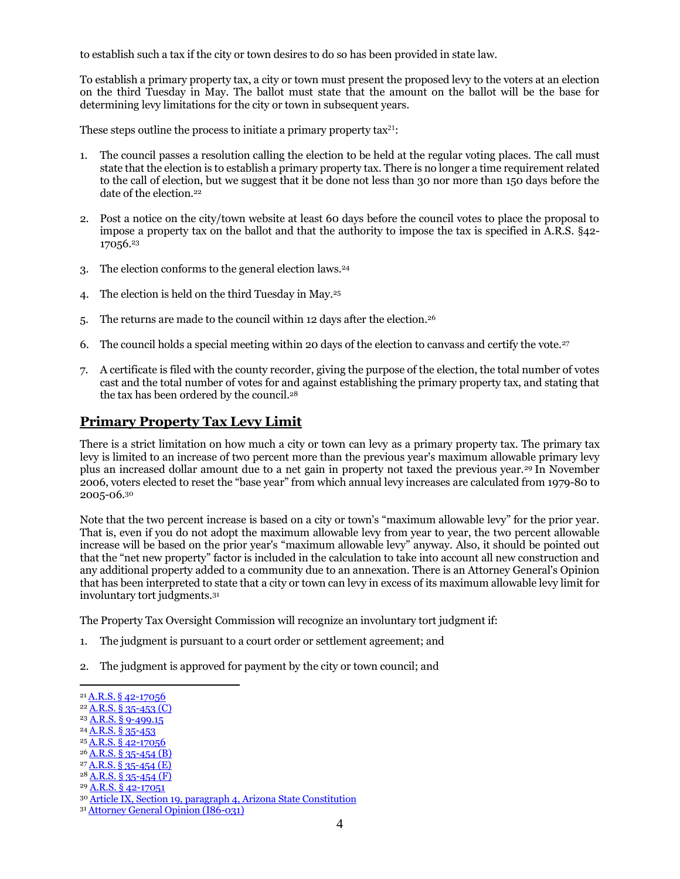to establish such a tax if the city or town desires to do so has been provided in state law.

To establish a primary property tax, a city or town must present the proposed levy to the voters at an election on the third Tuesday in May. The ballot must state that the amount on the ballot will be the base for determining levy limitations for the city or town in subsequent years.

These steps outline the process to initiate a primary property tax<sup>21</sup>:

- 1. The council passes a resolution calling the election to be held at the regular voting places. The call must state that the election is to establish a primary property tax. There is no longer a time requirement related to the call of election, but we suggest that it be done not less than 30 nor more than 150 days before the date of the election.<sup>22</sup>
- 2. Post a notice on the city/town website at least 60 days before the council votes to place the proposal to impose a property tax on the ballot and that the authority to impose the tax is specified in A.R.S. §42-  $17056.<sup>23</sup>$
- 3. The election conforms to the general election laws.<sup>24</sup>
- 4. The election is held on the third Tuesday in May.<sup>25</sup>
- 5. The returns are made to the council within 12 days after the election.<sup>26</sup>
- 6. The council holds a special meeting within 20 days of the election to canvass and certify the vote.<sup>27</sup>
- 7. A certificate is filed with the county recorder, giving the purpose of the election, the total number of votes cast and the total number of votes for and against establishing the primary property tax, and stating that the tax has been ordered by the council.<sup>28</sup>

#### **Primary Property Tax Levy Limit**

There is a strict limitation on how much a city or town can levy as a primary property tax. The primary tax levy is limited to an increase of two percent more than the previous year's maximum allowable primary levy plus an increased dollar amount due to a net gain in property not taxed the previous year.<sup>29</sup> In November 2006, voters elected to reset the "base year" from which annual levy increases are calculated from 1979-80 to 2005-06.<sup>30</sup>

Note that the two percent increase is based on a city or town's "maximum allowable levy" for the prior year. That is, even if you do not adopt the maximum allowable levy from year to year, the two percent allowable increase will be based on the prior year's "maximum allowable levy" anyway. Also, it should be pointed out that the "net new property" factor is included in the calculation to take into account all new construction and any additional property added to a community due to an annexation. There is an Attorney General's Opinion that has been interpreted to state that a city or town can levy in excess of its maximum allowable levy limit for involuntary tort judgments.<sup>31</sup>

The Property Tax Oversight Commission will recognize an involuntary tort judgment if:

- 1. The judgment is pursuant to a court order or settlement agreement; and
- 2. The judgment is approved for payment by the city or town council; and

- <sup>23</sup> [A.R.S. § 9-499.15](https://www.azleg.gov/viewdocument/?docName=https://www.azleg.gov/ars/9/00499-15.htm)
- <sup>24</sup> [A.R.S. § 35-453](https://www.azleg.gov/viewdocument/?docName=https://www.azleg.gov/ars/35/00453.htm)
- <sup>25</sup> [A.R.S. § 42-17056](https://www.azleg.gov/viewdocument/?docName=https://www.azleg.gov/ars/42/17056.htm)
- $26$  [A.R.S. § 35-454 \(B\)](https://www.azleg.gov/viewdocument/?docName=https://www.azleg.gov/ars/35/00454.htm)

<sup>29</sup> [A.R.S. § 42-17051](https://www.azleg.gov/viewdocument/?docName=https://www.azleg.gov/ars/42/17051.htm)

 <sup>21</sup> A.R.S. § [42-17056](https://www.azleg.gov/viewdocument/?docName=https://www.azleg.gov/ars/42/17056.htm)

 $22$  [A.R.S. § 35-453 \(C\)](https://www.azleg.gov/viewdocument/?docName=https://www.azleg.gov/ars/35/00453.htm)

 $27$  [A.R.S. § 35-454 \(E\)](https://www.azleg.gov/viewdocument/?docName=https://www.azleg.gov/ars/35/00454.htm)  $28$  [A.R.S. § 35-454 \(F\)](https://www.azleg.gov/viewdocument/?docName=https://www.azleg.gov/ars/35/00454.htm)

<sup>30</sup> [Article IX, Section 19, paragraph 4, Arizona State Constitution](https://www.azleg.gov/viewDocument/?docName=http://www.azleg.gov/const/9/19.htm)

<sup>31</sup> [Attorney General Opinion \(I86-031\)](http://leagueaz.org/publications/budg_fin/2015/R85-121.pdf)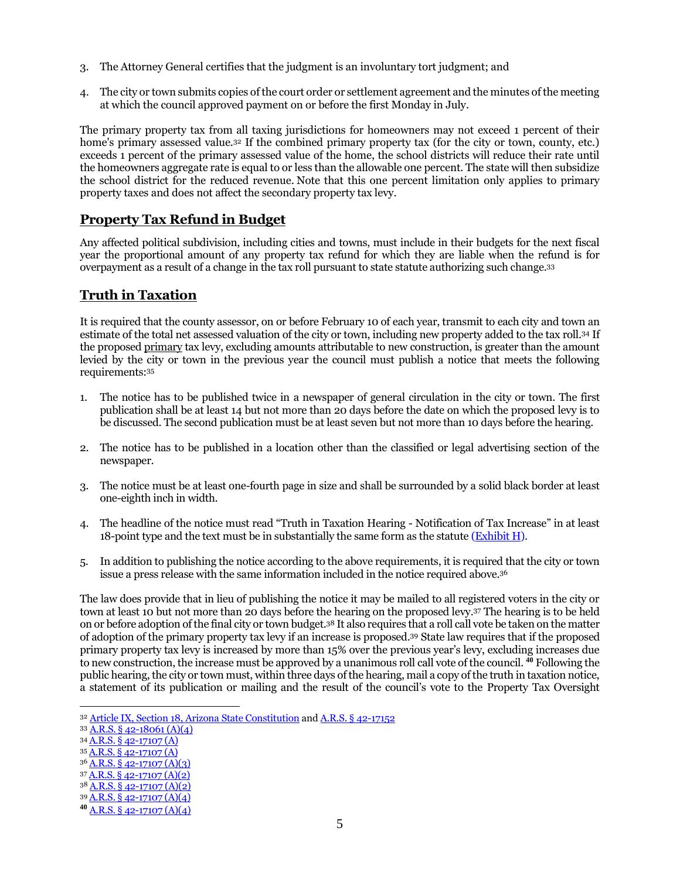- 3. The Attorney General certifies that the judgment is an involuntary tort judgment; and
- 4. The city or town submits copies of the court order or settlement agreement and the minutes of the meeting at which the council approved payment on or before the first Monday in July.

The primary property tax from all taxing jurisdictions for homeowners may not exceed 1 percent of their home's primary assessed value.<sup>32</sup> If the combined primary property tax (for the city or town, county, etc.) exceeds 1 percent of the primary assessed value of the home, the school districts will reduce their rate until the homeowners aggregate rate is equal to or less than the allowable one percent. The state will then subsidize the school district for the reduced revenue. Note that this one percent limitation only applies to primary property taxes and does not affect the secondary property tax levy.

#### **Property Tax Refund in Budget**

Any affected political subdivision, including cities and towns, must include in their budgets for the next fiscal year the proportional amount of any property tax refund for which they are liable when the refund is for overpayment as a result of a change in the tax roll pursuant to state statute authorizing such change.<sup>33</sup>

#### **Truth in Taxation**

It is required that the county assessor, on or before February 10 of each year, transmit to each city and town an estimate of the total net assessed valuation of the city or town, including new property added to the tax roll.<sup>34</sup> If the proposed primary tax levy, excluding amounts attributable to new construction, is greater than the amount levied by the city or town in the previous year the council must publish a notice that meets the following requirements:<sup>35</sup>

- 1. The notice has to be published twice in a newspaper of general circulation in the city or town. The first publication shall be at least 14 but not more than 20 days before the date on which the proposed levy is to be discussed. The second publication must be at least seven but not more than 10 days before the hearing.
- 2. The notice has to be published in a location other than the classified or legal advertising section of the newspaper.
- 3. The notice must be at least one-fourth page in size and shall be surrounded by a solid black border at least one-eighth inch in width.
- 4. The headline of the notice must read "Truth in Taxation Hearing Notification of Tax Increase" in at least 18-point type and the text must be in substantially the same form as the statute  $(Exhibit H)$ .
- 5. In addition to publishing the notice according to the above requirements, it is required that the city or town issue a press release with the same information included in the notice required above.<sup>36</sup>

The law does provide that in lieu of publishing the notice it may be mailed to all registered voters in the city or town at least 10 but not more than 20 days before the hearing on the proposed levy.<sup>37</sup> The hearing is to be held on or before adoption of the final city or town budget.<sup>38</sup> It also requires that a roll call vote be taken on the matter of adoption of the primary property tax levy if an increase is proposed.<sup>39</sup> State law requires that if the proposed primary property tax levy is increased by more than 15% over the previous year's levy, excluding increases due to new construction, the increase must be approved by a unanimous roll call vote of the council. **<sup>40</sup>** Following the public hearing, the city or town must, within three days of the hearing, mail a copy of the truth in taxation notice, a statement of its publication or mailing and the result of the council's vote to the Property Tax Oversight

- <sup>34</sup> [A.R.S. § 42-17107 \(A\)](https://www.azleg.gov/viewdocument/?docName=https://www.azleg.gov/ars/42/17107.htm)
- <sup>35</sup> [A.R.S. § 42-17107 \(A\)](https://www.azleg.gov/viewdocument/?docName=https://www.azleg.gov/ars/42/17107.htm)

- $36$  A,R,S, § 42-17107 (A)(3)
- <sup>37</sup> [A.R.S. § 42-17107 \(A\)\(2\)](https://www.azleg.gov/viewdocument/?docName=https://www.azleg.gov/ars/42/17107.htm) <sup>38</sup> [A.R.S. § 42-17107 \(A\)\(2\)](https://www.azleg.gov/viewdocument/?docName=https://www.azleg.gov/ars/42/17107.htm)

<sup>32</sup> [Article IX, Section 18, Arizona State Constitution](https://www.azleg.gov/viewDocument/?docName=http://www.azleg.gov/const/9/18.htm) an[d A.R.S. § 42-17152](https://www.azleg.gov/viewdocument/?docName=https://www.azleg.gov/ars/42/17152.htm)

<sup>33</sup> [A.R.S. § 42-18061 \(A\)\(4\)](https://www.azleg.gov/viewdocument/?docName=https://www.azleg.gov/ars/42/18061.htm)

<sup>39</sup> [A.R.S. § 42-17107 \(A\)\(4\)](https://www.azleg.gov/viewdocument/?docName=https://www.azleg.gov/ars/42/17107.htm)

**<sup>40</sup>** [A.R.S. § 42-17107 \(A\)\(4\)](https://www.azleg.gov/viewdocument/?docName=https://www.azleg.gov/ars/42/17107.htm)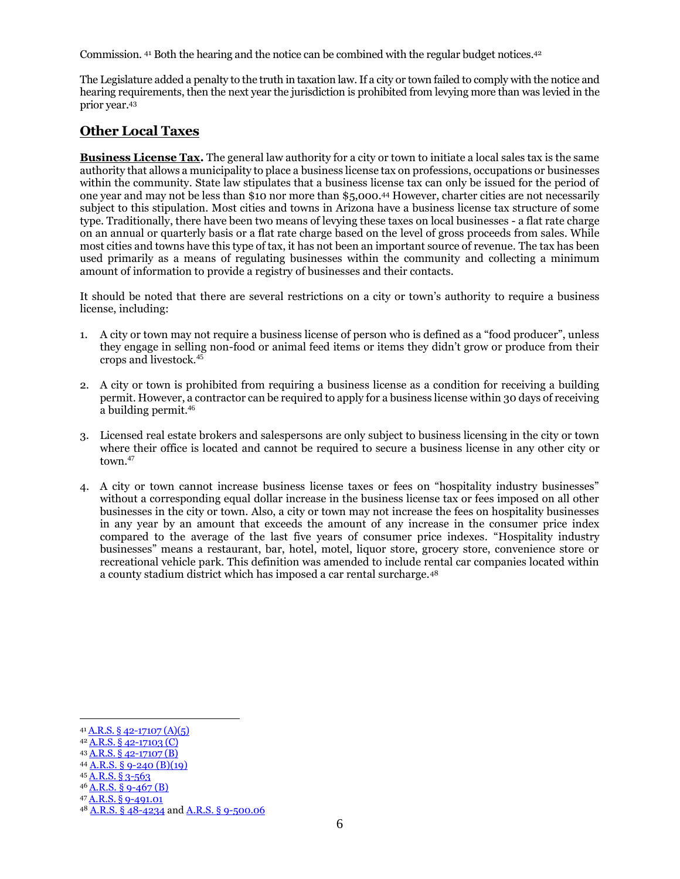Commission. <sup>41</sup> Both the hearing and the notice can be combined with the regular budget notices.<sup>42</sup>

The Legislature added a penalty to the truth in taxation law.If a city or town failed to comply with the notice and hearing requirements, then the next year the jurisdiction is prohibited from levying more than was levied in the prior year.<sup>43</sup>

### **Other Local Taxes**

**Business License Tax.** The general law authority for a city or town to initiate a local sales tax is the same authority that allows a municipality to place a business license tax on professions, occupations or businesses within the community. State law stipulates that a business license tax can only be issued for the period of one year and may not be less than \$10 nor more than \$5,000. <sup>44</sup> However, charter cities are not necessarily subject to this stipulation. Most cities and towns in Arizona have a business license tax structure of some type. Traditionally, there have been two means of levying these taxes on local businesses - a flat rate charge on an annual or quarterly basis or a flat rate charge based on the level of gross proceeds from sales. While most cities and towns have this type of tax, it has not been an important source of revenue. The tax has been used primarily as a means of regulating businesses within the community and collecting a minimum amount of information to provide a registry of businesses and their contacts.

It should be noted that there are several restrictions on a city or town's authority to require a business license, including:

- 1. A city or town may not require a business license of person who is defined as a "food producer", unless they engage in selling non-food or animal feed items or items they didn't grow or produce from their crops and livestock.<sup>45</sup>
- 2. A city or town is prohibited from requiring a business license as a condition for receiving a building permit. However, a contractor can be required to apply for a business license within 30 days of receiving a building permit.<sup>46</sup>
- 3. Licensed real estate brokers and salespersons are only subject to business licensing in the city or town where their office is located and cannot be required to secure a business license in any other city or town. 47
- 4. A city or town cannot increase business license taxes or fees on "hospitality industry businesses" without a corresponding equal dollar increase in the business license tax or fees imposed on all other businesses in the city or town. Also, a city or town may not increase the fees on hospitality businesses in any year by an amount that exceeds the amount of any increase in the consumer price index compared to the average of the last five years of consumer price indexes. "Hospitality industry businesses" means a restaurant, bar, hotel, motel, liquor store, grocery store, convenience store or recreational vehicle park. This definition was amended to include rental car companies located within a county stadium district which has imposed a car rental surcharge.<sup>48</sup>

<sup>41</sup> [A.R.S. § 42-17107 \(A\)\(5\)](https://www.azleg.gov/viewdocument/?docName=https://www.azleg.gov/ars/42/17107.htm) <sup>42</sup> [A.R.S. § 42-17103 \(C\)](https://www.azleg.gov/viewdocument/?docName=https://www.azleg.gov/ars/42/17103.htm)

<sup>43</sup> [A.R.S. § 42-17107 \(B\)](https://www.azleg.gov/viewdocument/?docName=https://www.azleg.gov/ars/42/17107.htm)

<sup>44</sup> [A.R.S. § 9-240 \(B\)\(19\)](https://www.azleg.gov/viewdocument/?docName=https://www.azleg.gov/ars/9/00240.htm)

<sup>45</sup> [A.R.S.](https://www.azleg.gov/viewdocument/?docName=https://www.azleg.gov/ars/3/00563.htm) § 3-563

 $46$  [A.R.S. § 9-467 \(B\)](https://www.azleg.gov/viewdocument/?docName=https://www.azleg.gov/ars/9/00467.htm)

<sup>47</sup> A.R.S. § [9-491.01](https://www.azleg.gov/viewdocument/?docName=https://www.azleg.gov/ars/9/00491-01.htm)

<sup>48</sup> A.R.S. § [48-4234](https://www.azleg.gov/viewdocument/?docName=https://www.azleg.gov/ars/48/04234.htm) and [A.R.S. § 9-500.06](https://www.azleg.gov/viewdocument/?docName=https://www.azleg.gov/ars/9/00500-06.htm)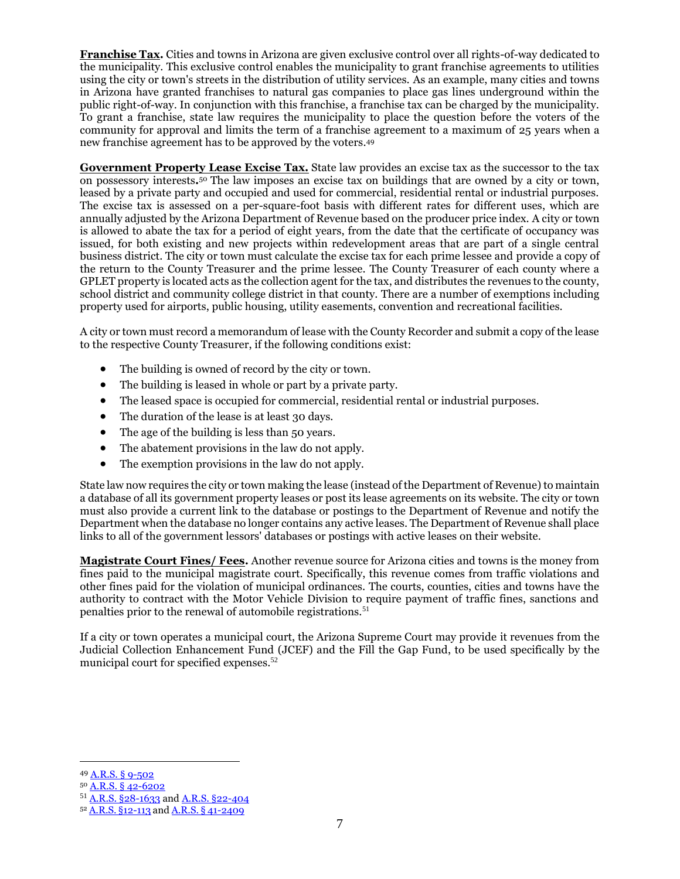**Franchise Tax.** Cities and towns in Arizona are given exclusive control over all rights-of-way dedicated to the municipality. This exclusive control enables the municipality to grant franchise agreements to utilities using the city or town's streets in the distribution of utility services. As an example, many cities and towns in Arizona have granted franchises to natural gas companies to place gas lines underground within the public right-of-way. In conjunction with this franchise, a franchise tax can be charged by the municipality. To grant a franchise, state law requires the municipality to place the question before the voters of the community for approval and limits the term of a franchise agreement to a maximum of 25 years when a new franchise agreement has to be approved by the voters. 49

**Government Property Lease Excise Tax.** State law provides an excise tax as the successor to the tax on possessory interests**.** <sup>50</sup> The law imposes an excise tax on buildings that are owned by a city or town, leased by a private party and occupied and used for commercial, residential rental or industrial purposes. The excise tax is assessed on a per-square-foot basis with different rates for different uses, which are annually adjusted by the Arizona Department of Revenue based on the producer price index. A city or town is allowed to abate the tax for a period of eight years, from the date that the certificate of occupancy was issued, for both existing and new projects within redevelopment areas that are part of a single central business district. The city or town must calculate the excise tax for each prime lessee and provide a copy of the return to the County Treasurer and the prime lessee. The County Treasurer of each county where a GPLET property is located acts as the collection agent for the tax, and distributes the revenues to the county, school district and community college district in that county. There are a number of exemptions including property used for airports, public housing, utility easements, convention and recreational facilities.

A city or town must record a memorandum of lease with the County Recorder and submit a copy of the lease to the respective County Treasurer, if the following conditions exist:

- The building is owned of record by the city or town.
- The building is leased in whole or part by a private party.
- The leased space is occupied for commercial, residential rental or industrial purposes.
- The duration of the lease is at least 30 days.
- The age of the building is less than 50 years.
- The abatement provisions in the law do not apply.
- The exemption provisions in the law do not apply.

State law now requires the city or town making the lease (instead of the Department of Revenue) to maintain a database of all its government property leases or post its lease agreements on its website. The city or town must also provide a current link to the database or postings to the Department of Revenue and notify the Department when the database no longer contains any active leases. The Department of Revenue shall place links to all of the government lessors' databases or postings with active leases on their website.

**Magistrate Court Fines/ Fees.** Another revenue source for Arizona cities and towns is the money from fines paid to the municipal magistrate court. Specifically, this revenue comes from traffic violations and other fines paid for the violation of municipal ordinances. The courts, counties, cities and towns have the authority to contract with the Motor Vehicle Division to require payment of traffic fines, sanctions and penalties prior to the renewal of automobile registrations.<sup>51</sup>

If a city or town operates a municipal court, the Arizona Supreme Court may provide it revenues from the Judicial Collection Enhancement Fund (JCEF) and the Fill the Gap Fund, to be used specifically by the municipal court for specified expenses. 52

<sup>49</sup> [A.R.S. §](https://www.azleg.gov/viewdocument/?docName=https://www.azleg.gov/ars/9/00502.htm) 9-502

<sup>50</sup> [A.R.S. § 42-6202](https://www.azleg.gov/viewdocument/?docName=https://www.azleg.gov/ars/42/06202.htm)

<sup>51</sup> [A.R.S. §28-1633](https://www.azleg.gov/viewdocument/?docName=https://www.azleg.gov/ars/28/01633.htm) and [A.R.S. §22-404](https://www.azleg.gov/viewdocument/?docName=https://www.azleg.gov/ars/22/00404.htm)

<sup>52</sup> A.R.S. [§12-113](https://www.azleg.gov/viewdocument/?docName=https://www.azleg.gov/ars/12/00113.htm) and A.R.S. § [41-2409](https://www.azleg.gov/viewdocument/?docName=https://www.azleg.gov/ars/41/02409.htm)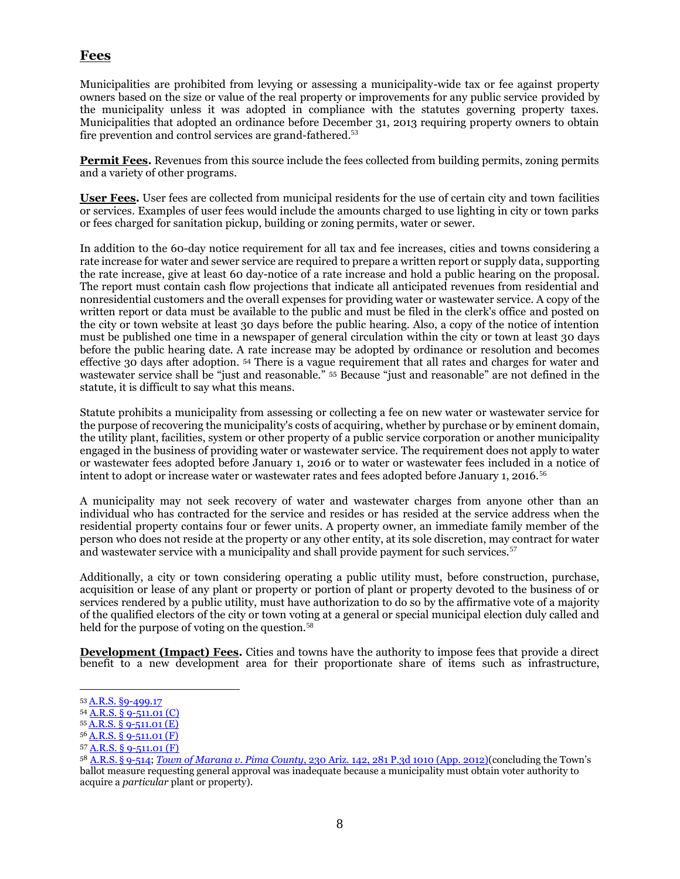### **Fees**

Municipalities are prohibited from levying or assessing a municipality-wide tax or fee against property owners based on the size or value of the real property or improvements for any public service provided by the municipality unless it was adopted in compliance with the statutes governing property taxes. Municipalities that adopted an ordinance before December 31, 2013 requiring property owners to obtain fire prevention and control services are grand-fathered.<sup>53</sup>

**Permit Fees.** Revenues from this source include the fees collected from building permits, zoning permits and a variety of other programs.

**User Fees.** User fees are collected from municipal residents for the use of certain city and town facilities or services. Examples of user fees would include the amounts charged to use lighting in city or town parks or fees charged for sanitation pickup, building or zoning permits, water or sewer.

In addition to the 60-day notice requirement for all tax and fee increases, cities and towns considering a rate increase for water and sewer service are required to prepare a written report or supply data, supporting the rate increase, give at least 60 day-notice of a rate increase and hold a public hearing on the proposal. The report must contain cash flow projections that indicate all anticipated revenues from residential and nonresidential customers and the overall expenses for providing water or wastewater service. A copy of the written report or data must be available to the public and must be filed in the clerk's office and posted on the city or town website at least 30 days before the public hearing. Also, a copy of the notice of intention must be published one time in a newspaper of general circulation within the city or town at least 30 days before the public hearing date. A rate increase may be adopted by ordinance or resolution and becomes effective 30 days after adoption. <sup>54</sup> There is a vague requirement that all rates and charges for water and wastewater service shall be "just and reasonable." <sup>55</sup> Because "just and reasonable" are not defined in the statute, it is difficult to say what this means.

Statute prohibits a municipality from assessing or collecting a fee on new water or wastewater service for the purpose of recovering the municipality's costs of acquiring, whether by purchase or by eminent domain, the utility plant, facilities, system or other property of a public service corporation or another municipality engaged in the business of providing water or wastewater service. The requirement does not apply to water or wastewater fees adopted before January 1, 2016 or to water or wastewater fees included in a notice of intent to adopt or increase water or wastewater rates and fees adopted before January 1, 2016.<sup>56</sup>

A municipality may not seek recovery of water and wastewater charges from anyone other than an individual who has contracted for the service and resides or has resided at the service address when the residential property contains four or fewer units. A property owner, an immediate family member of the person who does not reside at the property or any other entity, at its sole discretion, may contract for water and wastewater service with a municipality and shall provide payment for such services.<sup>57</sup>

Additionally, a city or town considering operating a public utility must, before construction, purchase, acquisition or lease of any plant or property or portion of plant or property devoted to the business of or services rendered by a public utility, must have authorization to do so by the affirmative vote of a majority of the qualified electors of the city or town voting at a general or special municipal election duly called and held for the purpose of voting on the question.<sup>58</sup>

**Development (Impact) Fees.** Cities and towns have the authority to impose fees that provide a direct benefit to a new development area for their proportionate share of items such as infrastructure,

<sup>53</sup> [A.R.S. §9-499.17](https://www.azleg.gov/viewdocument/?docName=https://www.azleg.gov/ars/9/00499-17.htm)

<sup>54</sup> [A.R.S. § 9-511.01 \(C\)](https://www.azleg.gov/viewdocument/?docName=https://www.azleg.gov/ars/9/00511-01.htm)

<sup>55</sup> [A.R.S. § 9-511.01 \(E\)](https://www.azleg.gov/viewdocument/?docName=https://www.azleg.gov/ars/9/00511-01.htm)

<sup>56</sup> [A.R.S. § 9-511.01 \(F\)](https://www.azleg.gov/viewdocument/?docName=https://www.azleg.gov/ars/9/00511-01.htm)

<sup>57</sup> [A.R.S. § 9-511.01 \(F\)](https://www.azleg.gov/viewdocument/?docName=https://www.azleg.gov/ars/9/00511-01.htm)

<sup>58</sup> [A.R.S.](https://www.azleg.gov/viewdocument/?docName=https://www.azleg.gov/ars/9/00514.htm) § 9-514; *Town of Marana v. Pima County*[, 230 Ariz. 142, 281 P.3d 1010 \(App. 2012\)](file://///files/shared/Everyone/Publications/ELECTION/2018%20League%20Manual/@4_Chapter/Marana_PimaCty_2012.pdf)(concluding the Town's ballot measure requesting general approval was inadequate because a municipality must obtain voter authority to acquire a *particular* plant or property).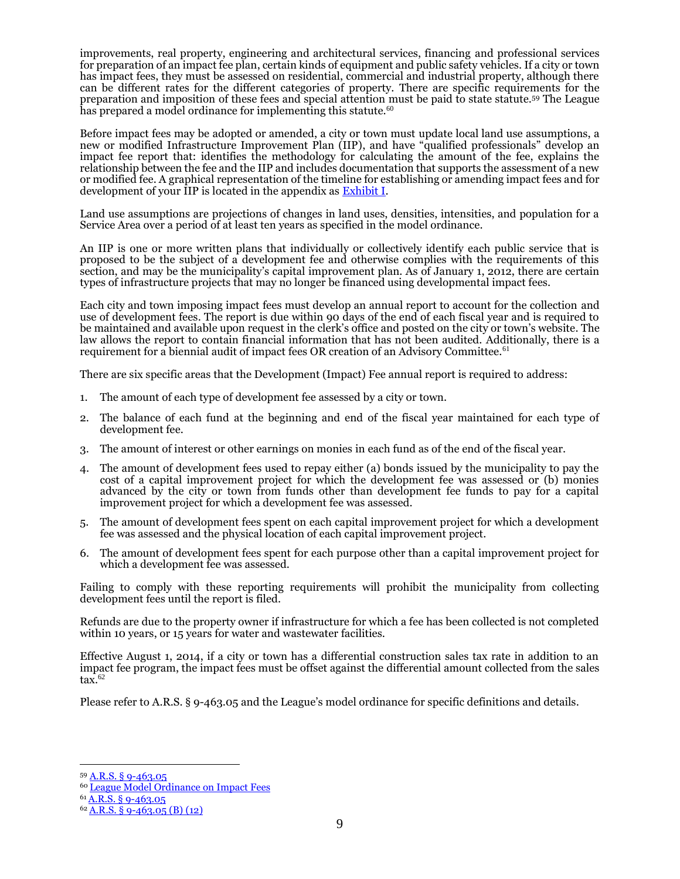improvements, real property, engineering and architectural services, financing and professional services for preparation of an impact fee plan, certain kinds of equipment and public safety vehicles. If a city or town has impact fees, they must be assessed on residential, commercial and industrial property, although there can be different rates for the different categories of property. There are specific requirements for the preparation and imposition of these fees and special attention must be paid to state statute.<sup>59</sup> The League has prepared a model ordinance for implementing this statute.<sup>60</sup>

Before impact fees may be adopted or amended, a city or town must update local land use assumptions, a new or modified Infrastructure Improvement Plan (IIP), and have "qualified professionals" develop an impact fee report that: identifies the methodology for calculating the amount of the fee, explains the relationship between the fee and the IIP and includes documentation that supports the assessment of a new or modified fee. A graphical representation of the timeline for establishing or amending impact fees and for development of your IIP is located in the appendix as **Exhibit I**.

Land use assumptions are projections of changes in land uses, densities, intensities, and population for a Service Area over a period of at least ten years as specified in the model ordinance.

An IIP is one or more written plans that individually or collectively identify each public service that is proposed to be the subject of a development fee and otherwise complies with the requirements of this section, and may be the municipality's capital improvement plan. As of January 1, 2012, there are certain types of infrastructure projects that may no longer be financed using developmental impact fees.

Each city and town imposing impact fees must develop an annual report to account for the collection and use of development fees. The report is due within 90 days of the end of each fiscal year and is required to be maintained and available upon request in the clerk's office and posted on the city or town's website. The law allows the report to contain financial information that has not been audited. Additionally, there is a requirement for a biennial audit of impact fees OR creation of an Advisory Committee.<sup>61</sup>

There are six specific areas that the Development (Impact) Fee annual report is required to address:

- 1. The amount of each type of development fee assessed by a city or town.
- 2. The balance of each fund at the beginning and end of the fiscal year maintained for each type of development fee.
- 3. The amount of interest or other earnings on monies in each fund as of the end of the fiscal year.
- 4. The amount of development fees used to repay either (a) bonds issued by the municipality to pay the cost of a capital improvement project for which the development fee was assessed or (b) monies advanced by the city or town from funds other than development fee funds to pay for a capital improvement project for which a development fee was assessed.
- 5. The amount of development fees spent on each capital improvement project for which a development fee was assessed and the physical location of each capital improvement project.
- 6. The amount of development fees spent for each purpose other than a capital improvement project for which a development fee was assessed.

Failing to comply with these reporting requirements will prohibit the municipality from collecting development fees until the report is filed.

Refunds are due to the property owner if infrastructure for which a fee has been collected is not completed within 10 years, or 15 years for water and wastewater facilities.

Effective August 1, 2014, if a city or town has a differential construction sales tax rate in addition to an impact fee program, the impact fees must be offset against the differential amount collected from the sales tax. 62

Please refer to A.R.S. § 9-463.05 and the League's model ordinance for specific definitions and details.

<sup>59</sup> [A.R.S. § 9-463.05](https://www.azleg.gov/viewdocument/?docName=https://www.azleg.gov/ars/9/00463-05.htm)

<sup>60</sup> [League Model Ordinance on Impact Fees](http://leagueaz.org/publications/budg_fin/2015/league_impact_fees.pdf)

<sup>61</sup> A.R.S. § [9-463.05](https://www.azleg.gov/viewdocument/?docName=https://www.azleg.gov/ars/9/00463-05.htm)

 $62$  A.R.S. § [9-463.05 \(B\) \(12\)](https://www.azleg.gov/viewdocument/?docName=https://www.azleg.gov/ars/9/00463-05.htm)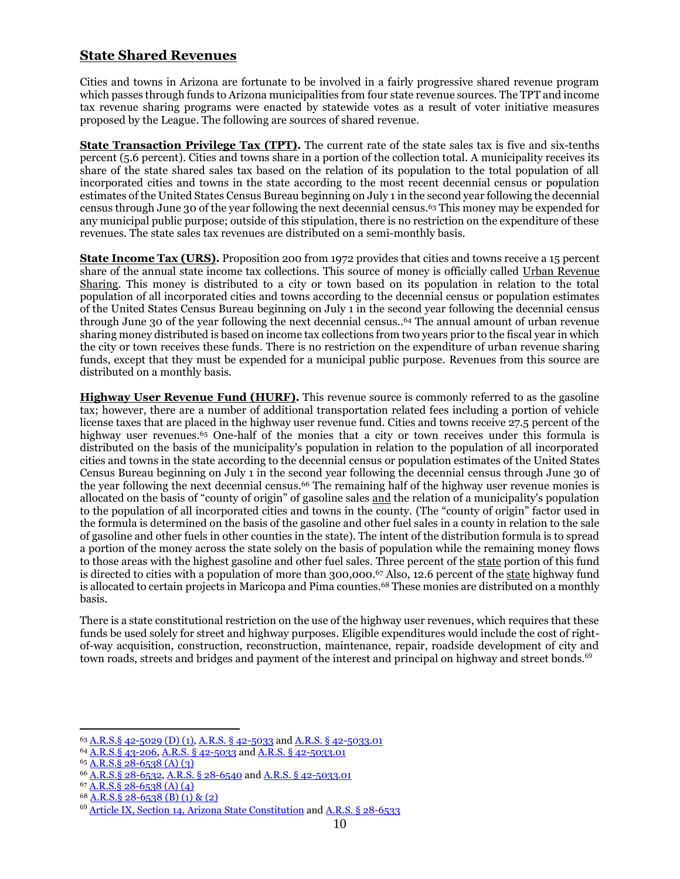#### **State Shared Revenues**

Cities and towns in Arizona are fortunate to be involved in a fairly progressive shared revenue program which passes through funds to Arizona municipalities from four state revenue sources. The TPT and income tax revenue sharing programs were enacted by statewide votes as a result of voter initiative measures proposed by the League. The following are sources of shared revenue.

**State Transaction Privilege Tax (TPT).** The current rate of the state sales tax is five and six-tenths percent (5.6 percent). Cities and towns share in a portion of the collection total. A municipality receives its share of the state shared sales tax based on the relation of its population to the total population of all incorporated cities and towns in the state according to the most recent decennial census or population estimates of the United States Census Bureau beginning on July 1 in the second year following the decennial census through June 30 of the year following the next decennial census. <sup>63</sup> This money may be expended for any municipal public purpose; outside of this stipulation, there is no restriction on the expenditure of these revenues. The state sales tax revenues are distributed on a semi-monthly basis.

**State Income Tax (URS).** Proposition 200 from 1972 provides that cities and towns receive a 15 percent share of the annual state income tax collections. This source of money is officially called Urban Revenue Sharing. This money is distributed to a city or town based on its population in relation to the total population of all incorporated cities and towns according to the decennial census or population estimates of the United States Census Bureau beginning on July 1 in the second year following the decennial census through June 30 of the year following the next decennial census.. <sup>64</sup> The annual amount of urban revenue sharing money distributed is based on income tax collections from two years prior to the fiscal year in which the city or town receives these funds. There is no restriction on the expenditure of urban revenue sharing funds, except that they must be expended for a municipal public purpose. Revenues from this source are distributed on a monthly basis.

**Highway User Revenue Fund (HURF).** This revenue source is commonly referred to as the gasoline tax; however, there are a number of additional transportation related fees including a portion of vehicle license taxes that are placed in the highway user revenue fund. Cities and towns receive 27.5 percent of the highway user revenues.<sup>65</sup> One-half of the monies that a city or town receives under this formula is distributed on the basis of the municipality's population in relation to the population of all incorporated cities and towns in the state according to the decennial census or population estimates of the United States Census Bureau beginning on July 1 in the second year following the decennial census through June 30 of the year following the next decennial census. <sup>66</sup> The remaining half of the highway user revenue monies is allocated on the basis of "county of origin" of gasoline sales and the relation of a municipality's population to the population of all incorporated cities and towns in the county. (The "county of origin" factor used in the formula is determined on the basis of the gasoline and other fuel sales in a county in relation to the sale of gasoline and other fuels in other counties in the state). The intent of the distribution formula is to spread a portion of the money across the state solely on the basis of population while the remaining money flows to those areas with the highest gasoline and other fuel sales. Three percent of the state portion of this fund is directed to cities with a population of more than 300,000.<sup>67</sup> Also, 12.6 percent of the state highway fund is allocated to certain projects in Maricopa and Pima counties.<sup>68</sup> These monies are distributed on a monthly basis.

There is a state constitutional restriction on the use of the highway user revenues, which requires that these funds be used solely for street and highway purposes. Eligible expenditures would include the cost of rightof-way acquisition, construction, reconstruction, maintenance, repair, roadside development of city and town roads, streets and bridges and payment of the interest and principal on highway and street bonds.<sup>69</sup>

<sup>63</sup> [A.R.S.§ 42-5029 \(D\) \(1\),](https://www.azleg.gov/viewdocument/?docName=https://www.azleg.gov/ars/42/05029.htm) [A.R.S. § 42-5033](https://www.azleg.gov/viewdocument/?docName=https://www.azleg.gov/ars/42/05033.htm) an[d A.R.S. § 42-5033.01](https://www.azleg.gov/viewdocument/?docName=https://www.azleg.gov/ars/42/05033-01.htm)

<sup>64</sup> [A.R.S.§ 43-206,](https://www.azleg.gov/viewdocument/?docName=https://www.azleg.gov/ars/43/00206.htm) [A.R.S. § 42-5033](https://www.azleg.gov/viewdocument/?docName=https://www.azleg.gov/ars/42/05033.htm) an[d A.R.S. § 42-5033.01](https://www.azleg.gov/viewdocument/?docName=https://www.azleg.gov/ars/42/05033-01.htm)

 $65$  A.R.S. § 28-6538 (A) (3)

<sup>66</sup> [A.R.S.§ 28-6532,](https://www.azleg.gov/viewdocument/?docName=https://www.azleg.gov/ars/28/06532.htm) [A.R.S. § 28-6540](https://www.azleg.gov/viewdocument/?docName=https://www.azleg.gov/ars/28/06540.htm) an[d A.R.S. § 42-5033.01](https://www.azleg.gov/viewdocument/?docName=https://www.azleg.gov/ars/42/05033-01.htm)

<sup>67</sup> [A.R.S.§ 28-6538 \(A\) \(4\)](https://www.azleg.gov/viewdocument/?docName=https://www.azleg.gov/ars/28/06538.htm)

<sup>68</sup> [A.R.S.§ 28-6538 \(B\) \(1\) & \(2\)](https://www.azleg.gov/viewdocument/?docName=https://www.azleg.gov/ars/28/06538.htm)

<sup>69</sup> [Article IX, Section 14, Arizona](https://www.azleg.gov/viewDocument/?docName=http://www.azleg.gov/const/9/14.htm) State Constitution an[d A.R.S. §](https://www.azleg.gov/viewdocument/?docName=https://www.azleg.gov/ars/28/06533.htm) 28-6533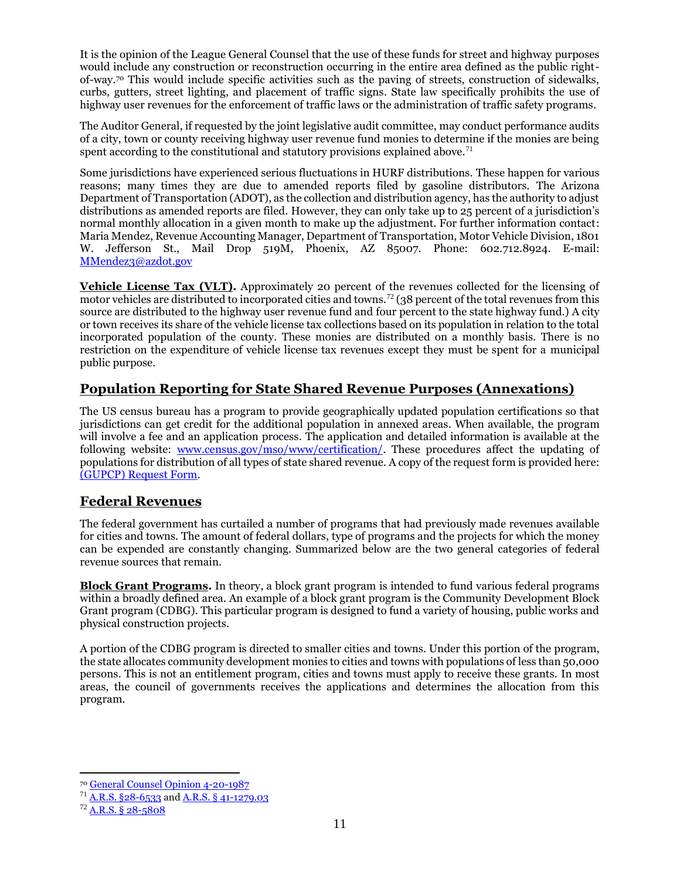It is the opinion of the League General Counsel that the use of these funds for street and highway purposes would include any construction or reconstruction occurring in the entire area defined as the public rightof-way.<sup>70</sup> This would include specific activities such as the paving of streets, construction of sidewalks, curbs, gutters, street lighting, and placement of traffic signs. State law specifically prohibits the use of highway user revenues for the enforcement of traffic laws or the administration of traffic safety programs.

The Auditor General, if requested by the joint legislative audit committee, may conduct performance audits of a city, town or county receiving highway user revenue fund monies to determine if the monies are being spent according to the constitutional and statutory provisions explained above.<sup>71</sup>

Some jurisdictions have experienced serious fluctuations in HURF distributions. These happen for various reasons; many times they are due to amended reports filed by gasoline distributors. The Arizona Department of Transportation (ADOT), as the collection and distribution agency, has the authority to adjust distributions as amended reports are filed. However, they can only take up to 25 percent of a jurisdiction's normal monthly allocation in a given month to make up the adjustment. For further information contact: Maria Mendez, Revenue Accounting Manager, Department of Transportation, Motor Vehicle Division, 1801 W. Jefferson St., Mail Drop 519M, Phoenix, AZ 85007. Phone: 602.712.8924. E-mail: [MMendez3@azdot.gov](mailto:MMendez3@azdot.gov)

**Vehicle License Tax (VLT).** Approximately 20 percent of the revenues collected for the licensing of motor vehicles are distributed to incorporated cities and towns.<sup>72</sup> (38 percent of the total revenues from this source are distributed to the highway user revenue fund and four percent to the state highway fund.) A city or town receives its share of the vehicle license tax collections based on its population in relation to the total incorporated population of the county. These monies are distributed on a monthly basis. There is no restriction on the expenditure of vehicle license tax revenues except they must be spent for a municipal public purpose.

## **Population Reporting for State Shared Revenue Purposes (Annexations)**

The US census bureau has a program to provide geographically updated population certifications so that jurisdictions can get credit for the additional population in annexed areas. When available, the program will involve a fee and an application process. The application and detailed information is available at the following website: [www.census.gov/mso/www/certification/.](http://www.census.gov/mso/www/certification/) These procedures affect the updating of populations for distribution of all types of state shared revenue. A copy of the request form is provided here: [\(GUPCP\) Request Form.](http://azleague.org/DocumentCenter/View/10308)

#### **Federal Revenues**

The federal government has curtailed a number of programs that had previously made revenues available for cities and towns. The amount of federal dollars, type of programs and the projects for which the money can be expended are constantly changing. Summarized below are the two general categories of federal revenue sources that remain.

**Block Grant Programs.** In theory, a block grant program is intended to fund various federal programs within a broadly defined area. An example of a block grant program is the Community Development Block Grant program (CDBG). This particular program is designed to fund a variety of housing, public works and physical construction projects.

A portion of the CDBG program is directed to smaller cities and towns. Under this portion of the program, the state allocates community development monies to cities and towns with populations of less than 50,000 persons. This is not an entitlement program, cities and towns must apply to receive these grants. In most areas, the council of governments receives the applications and determines the allocation from this program.

<sup>70</sup> [General Counsel Opinion 4-20-1987](http://leagueaz.org/publications/budg_fin/2015/GC_042087.pdf)

<sup>71</sup> [A.R.S. §28-6533](https://www.azleg.gov/viewdocument/?docName=https://www.azleg.gov/ars/28/06533.htm) and A.R.S. § [41-1279.03](https://www.azleg.gov/viewdocument/?docName=https://www.azleg.gov/ars/41/01279-03.htm)

 $72$  A.R.S. § [28-5808](https://www.azleg.gov/viewdocument/?docName=https://www.azleg.gov/ars/28/05808.htm)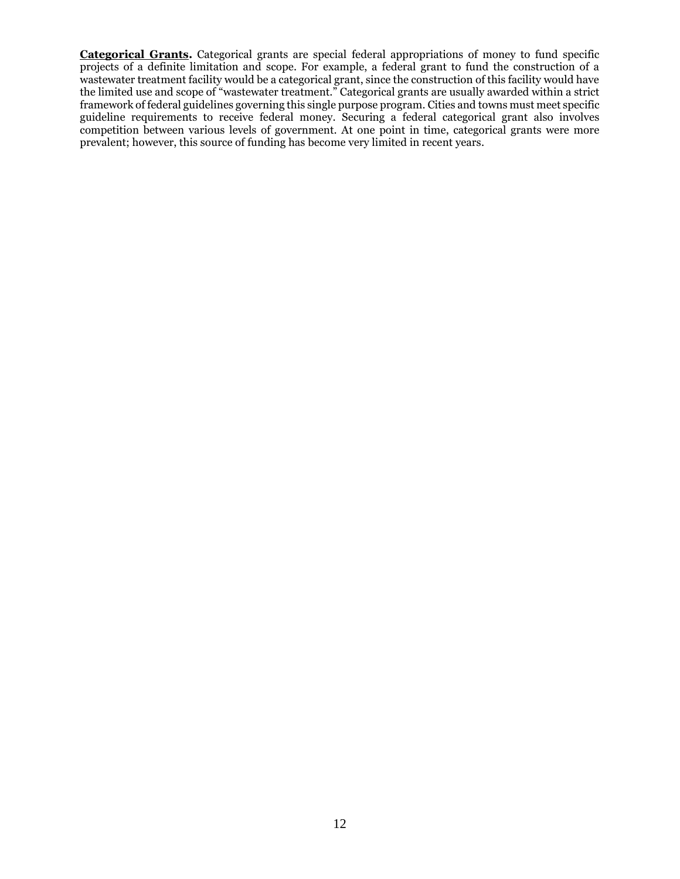**Categorical Grants.** Categorical grants are special federal appropriations of money to fund specific projects of a definite limitation and scope. For example, a federal grant to fund the construction of a wastewater treatment facility would be a categorical grant, since the construction of this facility would have the limited use and scope of "wastewater treatment." Categorical grants are usually awarded within a strict framework of federal guidelines governing this single purpose program. Cities and towns must meet specific guideline requirements to receive federal money. Securing a federal categorical grant also involves competition between various levels of government. At one point in time, categorical grants were more prevalent; however, this source of funding has become very limited in recent years.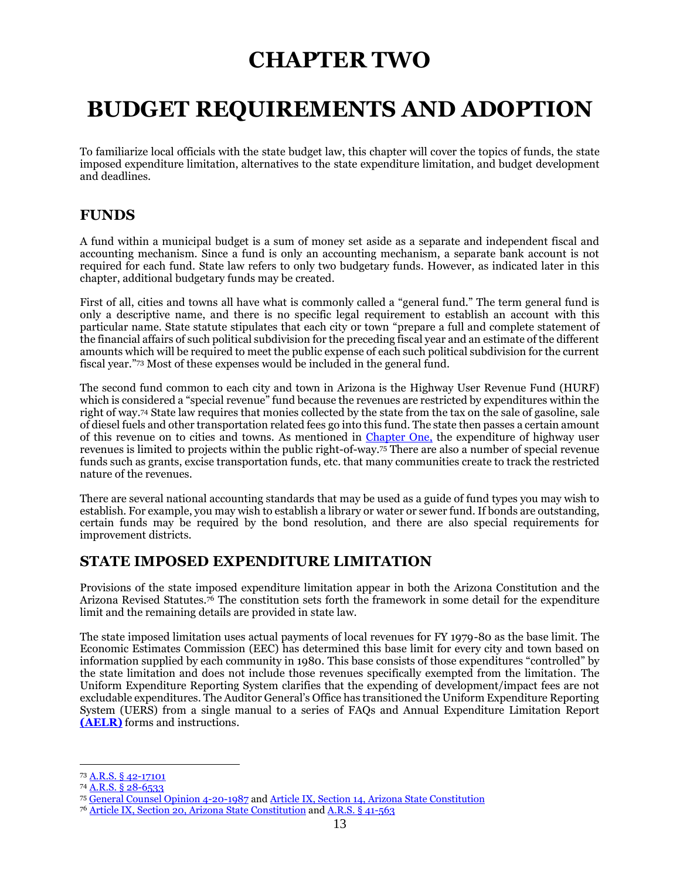## **CHAPTER TWO**

## <span id="page-16-0"></span>**BUDGET REQUIREMENTS AND ADOPTION**

To familiarize local officials with the state budget law, this chapter will cover the topics of funds, the state imposed expenditure limitation, alternatives to the state expenditure limitation, and budget development and deadlines.

### **FUNDS**

A fund within a municipal budget is a sum of money set aside as a separate and independent fiscal and accounting mechanism. Since a fund is only an accounting mechanism, a separate bank account is not required for each fund. State law refers to only two budgetary funds. However, as indicated later in this chapter, additional budgetary funds may be created.

First of all, cities and towns all have what is commonly called a "general fund." The term general fund is only a descriptive name, and there is no specific legal requirement to establish an account with this particular name. State statute stipulates that each city or town "prepare a full and complete statement of the financial affairs of such political subdivision for the preceding fiscal year and an estimate of the different amounts which will be required to meet the public expense of each such political subdivision for the current fiscal year." <sup>73</sup> Most of these expenses would be included in the general fund.

The second fund common to each city and town in Arizona is the Highway User Revenue Fund (HURF) which is considered a "special revenue" fund because the revenues are restricted by expenditures within the right of way. <sup>74</sup> State law requires that monies collected by the state from the tax on the sale of gasoline, sale of diesel fuels and other transportation related fees go into this fund. The state then passes a certain amount of this revenue on to cities and towns. As mentioned in [Chapter One,](#page-4-0) the expenditure of highway user revenues is limited to projects within the public right-of-way.<sup>75</sup> There are also a number of special revenue funds such as grants, excise transportation funds, etc. that many communities create to track the restricted nature of the revenues.

There are several national accounting standards that may be used as a guide of fund types you may wish to establish. For example, you may wish to establish a library or water or sewer fund. If bonds are outstanding, certain funds may be required by the bond resolution, and there are also special requirements for improvement districts.

## <span id="page-16-1"></span>**STATE IMPOSED EXPENDITURE LIMITATION**

Provisions of the state imposed expenditure limitation appear in both the Arizona Constitution and the Arizona Revised Statutes.<sup>76</sup> The constitution sets forth the framework in some detail for the expenditure limit and the remaining details are provided in state law.

The state imposed limitation uses actual payments of local revenues for FY 1979-80 as the base limit. The Economic Estimates Commission (EEC) has determined this base limit for every city and town based on information supplied by each community in 1980. This base consists of those expenditures "controlled" by the state limitation and does not include those revenues specifically exempted from the limitation. The Uniform Expenditure Reporting System clarifies that the expending of development/impact fees are not excludable expenditures. The Auditor General's Office has transitioned the Uniform Expenditure Reporting System (UERS) from a single manual to a series of FAQs and Annual Expenditure Limitation Report **[\(AELR\)](https://www.azauditor.gov/reports-publications/cities-and-towns/manuals-memorandums)** forms and instructions.

<sup>73</sup> [A.R.S. § 42-17101](https://www.azleg.gov/viewdocument/?docName=https://www.azleg.gov/ars/42/17101.htm)

<sup>74</sup> [A.R.S. § 28-6533](https://www.azleg.gov/viewdocument/?docName=https://www.azleg.gov/ars/28/06533.htm)

<sup>75</sup> [General Counsel Opinion 4-20-1987](http://leagueaz.org/publications/budg_fin/2015/GC_042087.pdf) an[d Article IX, Section 14, Arizona State Constitution](https://www.azleg.gov/viewDocument/?docName=http://www.azleg.gov/const/9/14.htm)

<sup>76</sup> [Article IX, Section 20, Arizona State Constitution](https://www.azleg.gov/viewDocument/?docName=http://www.azleg.gov/const/9/20.htm) and [A.R.S. § 41-563](https://www.azleg.gov/viewdocument/?docName=https://www.azleg.gov/ars/41/00563.htm)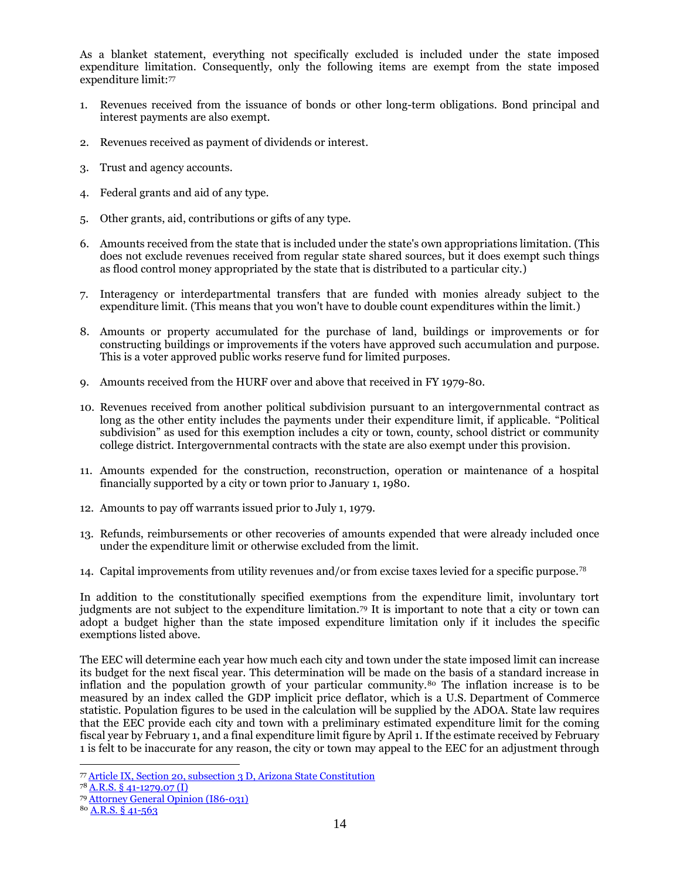As a blanket statement, everything not specifically excluded is included under the state imposed expenditure limitation. Consequently, only the following items are exempt from the state imposed expenditure limit:<sup>77</sup>

- 1. Revenues received from the issuance of bonds or other long-term obligations. Bond principal and interest payments are also exempt.
- 2. Revenues received as payment of dividends or interest.
- 3. Trust and agency accounts.
- 4. Federal grants and aid of any type.
- 5. Other grants, aid, contributions or gifts of any type.
- 6. Amounts received from the state that is included under the state's own appropriations limitation. (This does not exclude revenues received from regular state shared sources, but it does exempt such things as flood control money appropriated by the state that is distributed to a particular city.)
- 7. Interagency or interdepartmental transfers that are funded with monies already subject to the expenditure limit. (This means that you won't have to double count expenditures within the limit.)
- 8. Amounts or property accumulated for the purchase of land, buildings or improvements or for constructing buildings or improvements if the voters have approved such accumulation and purpose. This is a voter approved public works reserve fund for limited purposes.
- 9. Amounts received from the HURF over and above that received in FY 1979-80.
- 10. Revenues received from another political subdivision pursuant to an intergovernmental contract as long as the other entity includes the payments under their expenditure limit, if applicable. "Political subdivision" as used for this exemption includes a city or town, county, school district or community college district. Intergovernmental contracts with the state are also exempt under this provision.
- 11. Amounts expended for the construction, reconstruction, operation or maintenance of a hospital financially supported by a city or town prior to January 1, 1980.
- 12. Amounts to pay off warrants issued prior to July 1, 1979.
- 13. Refunds, reimbursements or other recoveries of amounts expended that were already included once under the expenditure limit or otherwise excluded from the limit.
- 14. Capital improvements from utility revenues and/or from excise taxes levied for a specific purpose.<sup>78</sup>

In addition to the constitutionally specified exemptions from the expenditure limit, involuntary tort judgments are not subject to the expenditure limitation.<sup>79</sup> It is important to note that a city or town can adopt a budget higher than the state imposed expenditure limitation only if it includes the specific exemptions listed above.

The EEC will determine each year how much each city and town under the state imposed limit can increase its budget for the next fiscal year. This determination will be made on the basis of a standard increase in inflation and the population growth of your particular community.<sup>80</sup> The inflation increase is to be measured by an index called the GDP implicit price deflator, which is a U.S. Department of Commerce statistic. Population figures to be used in the calculation will be supplied by the ADOA. State law requires that the EEC provide each city and town with a preliminary estimated expenditure limit for the coming fiscal year by February 1, and a final expenditure limit figure by April 1. If the estimate received by February 1 is felt to be inaccurate for any reason, the city or town may appeal to the EEC for an adjustment through

 <sup>77</sup> [Article IX, Section 20, subsection 3 D, Arizona State Constitution](https://www.azleg.gov/viewDocument/?docName=http://www.azleg.gov/const/9/20.htm)

<sup>78</sup> [A.R.S. § 41-1279.07 \(I\)](https://www.azleg.gov/viewdocument/?docName=https://www.azleg.gov/ars/41/01279-07.htm)

<sup>79</sup> [Attorney General Opinion \(I86-031\)](http://leagueaz.org/publications/budg_fin/2015/R85-121.pdf)

<sup>80</sup> [A.R.S. § 41-563](https://www.azleg.gov/viewdocument/?docName=https://www.azleg.gov/ars/41/00563.htm)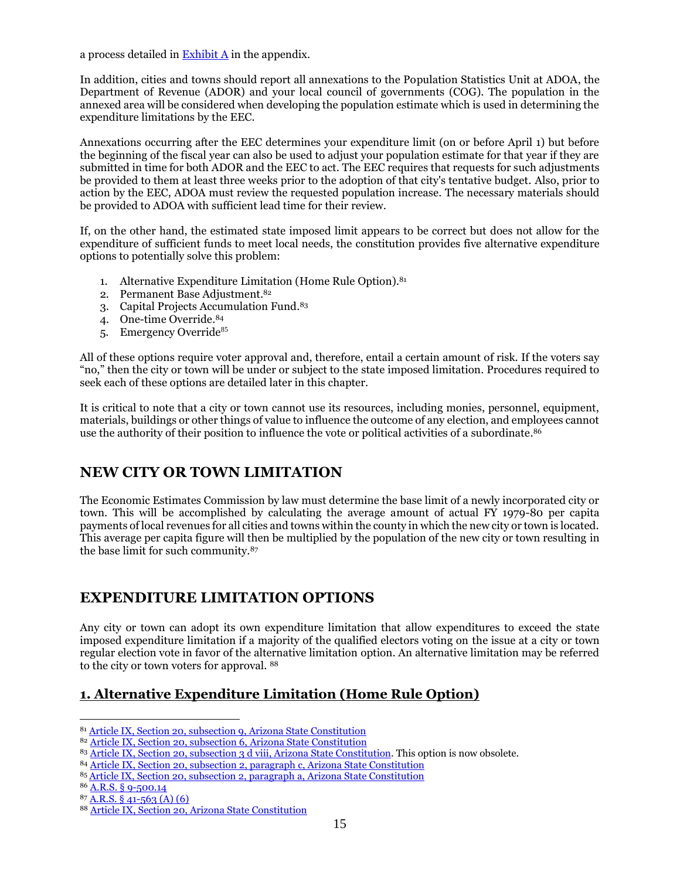a process detailed in  $\frac{Exhibit A}{A}$  in the appendix.

In addition, cities and towns should report all annexations to the Population Statistics Unit at ADOA, the Department of Revenue (ADOR) and your local council of governments (COG). The population in the annexed area will be considered when developing the population estimate which is used in determining the expenditure limitations by the EEC.

Annexations occurring after the EEC determines your expenditure limit (on or before April 1) but before the beginning of the fiscal year can also be used to adjust your population estimate for that year if they are submitted in time for both ADOR and the EEC to act. The EEC requires that requests for such adjustments be provided to them at least three weeks prior to the adoption of that city's tentative budget. Also, prior to action by the EEC, ADOA must review the requested population increase. The necessary materials should be provided to ADOA with sufficient lead time for their review.

If, on the other hand, the estimated state imposed limit appears to be correct but does not allow for the expenditure of sufficient funds to meet local needs, the constitution provides five alternative expenditure options to potentially solve this problem:

- 1. Alternative Expenditure Limitation (Home Rule Option). 81
- 2. Permanent Base Adjustment. 82
- 3. Capital Projects Accumulation Fund. 83
- 4. One-time Override. 84
- 5. Emergency Override<sup>85</sup>

All of these options require voter approval and, therefore, entail a certain amount of risk. If the voters say "no," then the city or town will be under or subject to the state imposed limitation. Procedures required to seek each of these options are detailed later in this chapter.

It is critical to note that a city or town cannot use its resources, including monies, personnel, equipment, materials, buildings or other things of value to influence the outcome of any election, and employees cannot use the authority of their position to influence the vote or political activities of a subordinate. 86

## **NEW CITY OR TOWN LIMITATION**

The Economic Estimates Commission by law must determine the base limit of a newly incorporated city or town. This will be accomplished by calculating the average amount of actual FY 1979-80 per capita payments of local revenues for all cities and towns within the county in which the new city or town is located. This average per capita figure will then be multiplied by the population of the new city or town resulting in the base limit for such community.<sup>87</sup>

## **EXPENDITURE LIMITATION OPTIONS**

Any city or town can adopt its own expenditure limitation that allow expenditures to exceed the state imposed expenditure limitation if a majority of the qualified electors voting on the issue at a city or town regular election vote in favor of the alternative limitation option. An alternative limitation may be referred to the city or town voters for approval. <sup>88</sup>

## **1. Alternative Expenditure Limitation (Home Rule Option)**

 <sup>81</sup> [Article IX, Section 20, subsection](https://www.azleg.gov/viewDocument/?docName=http://www.azleg.gov/const/9/20.htm) 9, Arizona State Constitution

<sup>82</sup> [Article IX, Section 20, subsection 6, Arizona State Constitution](https://www.azleg.gov/viewDocument/?docName=http://www.azleg.gov/const/9/20.htm)

<sup>83</sup> [Article IX, Section 20, subsection 3 d viii, Arizona State Constitution.](https://www.azleg.gov/viewDocument/?docName=http://www.azleg.gov/const/9/20.htm) This option is now obsolete.

<sup>84</sup> [Article IX, Section 20, subsection 2, paragraph c, Arizona State Constitution](https://www.azleg.gov/viewDocument/?docName=http://www.azleg.gov/const/9/20.htm)

<sup>85</sup> [Article IX, Section 20, subsection 2, paragraph](https://www.azleg.gov/viewDocument/?docName=http://www.azleg.gov/const/9/20.htm) a, Arizona State Constitution

<sup>86</sup> A.R.S. § [9-500.14](https://www.azleg.gov/viewdocument/?docName=https://www.azleg.gov/ars/9/00500-14.htm)

<sup>87</sup> [A.R.S. §](https://www.azleg.gov/viewdocument/?docName=https://www.azleg.gov/ars/41/00563.htm) 41-563 (A) (6)

<sup>88</sup> [Article IX, Section 20, Arizona State Constitution](https://www.azleg.gov/viewDocument/?docName=http://www.azleg.gov/const/9/20.htm)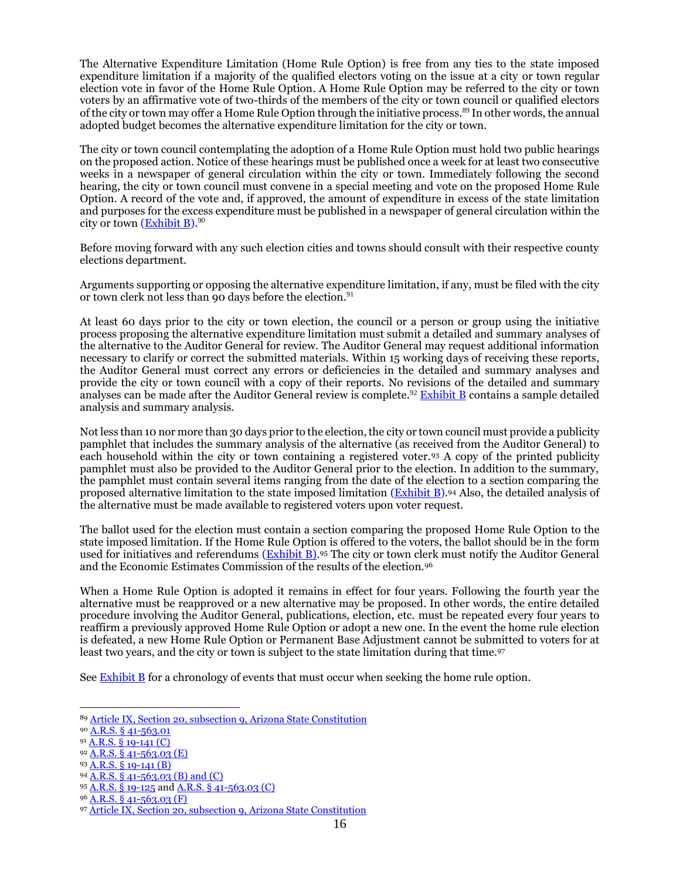The Alternative Expenditure Limitation (Home Rule Option) is free from any ties to the state imposed expenditure limitation if a majority of the qualified electors voting on the issue at a city or town regular election vote in favor of the Home Rule Option. A Home Rule Option may be referred to the city or town voters by an affirmative vote of two-thirds of the members of the city or town council or qualified electors of the city or town may offer a Home Rule Option through the initiative process.<sup>89</sup> In other words, the annual adopted budget becomes the alternative expenditure limitation for the city or town.

The city or town council contemplating the adoption of a Home Rule Option must hold two public hearings on the proposed action. Notice of these hearings must be published once a week for at least two consecutive weeks in a newspaper of general circulation within the city or town. Immediately following the second hearing, the city or town council must convene in a special meeting and vote on the proposed Home Rule Option. A record of the vote and, if approved, the amount of expenditure in excess of the state limitation and purposes for the excess expenditure must be published in a newspaper of general circulation within the city or town [\(Exhibit B\)](http://azleague.org/DocumentCenter/View/10292).  $^{90}$ 

Before moving forward with any such election cities and towns should consult with their respective county elections department.

Arguments supporting or opposing the alternative expenditure limitation, if any, must be filed with the city or town clerk not less than 90 days before the election.<sup>91</sup>

At least 60 days prior to the city or town election, the council or a person or group using the initiative process proposing the alternative expenditure limitation must submit a detailed and summary analyses of the alternative to the Auditor General for review. The Auditor General may request additional information necessary to clarify or correct the submitted materials. Within 15 working days of receiving these reports, the Auditor General must correct any errors or deficiencies in the detailed and summary analyses and provide the city or town council with a copy of their reports. No revisions of the detailed and summary analyses can be made after the Auditor General review is complete.<sup>92</sup> [Exhibit B](http://azleague.org/DocumentCenter/View/10292) contains a sample detailed analysis and summary analysis.

Not less than 10 nor more than 30 days prior to the election, the city or town council must provide a publicity pamphlet that includes the summary analysis of the alternative (as received from the Auditor General) to each household within the city or town containing a registered voter.<sup>93</sup> A copy of the printed publicity pamphlet must also be provided to the Auditor General prior to the election. In addition to the summary, the pamphlet must contain several items ranging from the date of the election to a section comparing the proposed alternative limitation to the state imposed limitation (**Exhibit B**).<sup>94</sup> Also, the detailed analysis of the alternative must be made available to registered voters upon voter request.

The ballot used for the election must contain a section comparing the proposed Home Rule Option to the state imposed limitation. If the Home Rule Option is offered to the voters, the ballot should be in the form used for initiatives and referendums [\(Exhibit B\).](http://azleague.org/DocumentCenter/View/10292)<sup>95</sup> The city or town clerk must notify the Auditor General and the Economic Estimates Commission of the results of the election.<sup>96</sup>

When a Home Rule Option is adopted it remains in effect for four years. Following the fourth year the alternative must be reapproved or a new alternative may be proposed. In other words, the entire detailed procedure involving the Auditor General, publications, election, etc. must be repeated every four years to reaffirm a previously approved Home Rule Option or adopt a new one. In the event the home rule election is defeated, a new Home Rule Option or Permanent Base Adjustment cannot be submitted to voters for at least two years, and the city or town is subject to the state limitation during that time. 97

See  $\frac{Exhibit}{B}$  for a chronology of events that must occur when seeking the home rule option.

<sup>94</sup> [A.R.S. § 41-563.03 \(B\) and \(C\)](https://www.azleg.gov/viewdocument/?docName=https://www.azleg.gov/ars/41/00563-03.htm)

 <sup>89</sup> [Article IX, Section 20, subsection 9, Arizona State Constitution](https://www.azleg.gov/viewDocument/?docName=http://www.azleg.gov/const/9/20.htm)

<sup>90</sup> A.R.S. § [41-563.01](https://www.azleg.gov/viewdocument/?docName=https://www.azleg.gov/ars/41/00563-01.htm)

<sup>91</sup> [A.R.S. § 19-141 \(C\)](https://www.azleg.gov/viewdocument/?docName=https://www.azleg.gov/ars/19/00141.htm)

<sup>92</sup> [A.R.S. § 41-563.03 \(E\)](https://www.azleg.gov/viewdocument/?docName=https://www.azleg.gov/ars/41/00563-03.htm)

<sup>93</sup> [A.R.S. § 19-141 \(B\)](https://www.azleg.gov/viewdocument/?docName=https://www.azleg.gov/ars/19/00141.htm)

<sup>95</sup> [A.R.S. § 19-125](https://www.azleg.gov/viewdocument/?docName=https://www.azleg.gov/ars/19/00125.htm) an[d A.R.S. § 41-563.03 \(C\)](https://www.azleg.gov/viewdocument/?docName=https://www.azleg.gov/ars/41/00563-03.htm)

<sup>96</sup> [A.R.S. § 41-563.03 \(F\)](https://www.azleg.gov/viewdocument/?docName=https://www.azleg.gov/ars/41/00563-03.htm)

<sup>97</sup> [Article IX, Section 20, subsection 9, Arizona State Constitution](https://www.azleg.gov/viewDocument/?docName=http://www.azleg.gov/const/9/20.htm)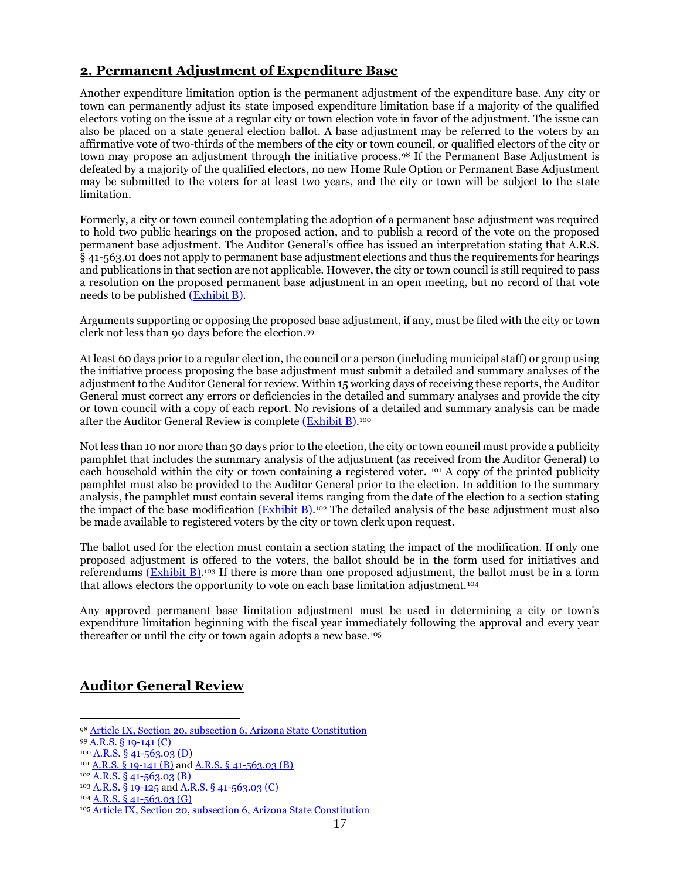## **2. Permanent Adjustment of Expenditure Base**

Another expenditure limitation option is the permanent adjustment of the expenditure base. Any city or town can permanently adjust its state imposed expenditure limitation base if a majority of the qualified electors voting on the issue at a regular city or town election vote in favor of the adjustment. The issue can also be placed on a state general election ballot. A base adjustment may be referred to the voters by an affirmative vote of two-thirds of the members of the city or town council, or qualified electors of the city or town may propose an adjustment through the initiative process.<sup>98</sup> If the Permanent Base Adjustment is defeated by a majority of the qualified electors, no new Home Rule Option or Permanent Base Adjustment may be submitted to the voters for at least two years, and the city or town will be subject to the state limitation.

Formerly, a city or town council contemplating the adoption of a permanent base adjustment was required to hold two public hearings on the proposed action, and to publish a record of the vote on the proposed permanent base adjustment. The Auditor General's office has issued an interpretation stating that A.R.S. § 41-563.01 does not apply to permanent base adjustment elections and thus the requirements for hearings and publications in that section are not applicable. However, the city or town council is still required to pass a resolution on the proposed permanent base adjustment in an open meeting, but no record of that vote needs to be published [\(Exhibit B\)](http://azleague.org/DocumentCenter/View/10292).

Arguments supporting or opposing the proposed base adjustment, if any, must be filed with the city or town clerk not less than 90 days before the election.<sup>99</sup>

At least 60 days prior to a regular election, the council or a person (including municipal staff) or group using the initiative process proposing the base adjustment must submit a detailed and summary analyses of the adjustment to the Auditor General for review. Within 15 working days of receiving these reports, the Auditor General must correct any errors or deficiencies in the detailed and summary analyses and provide the city or town council with a copy of each report. No revisions of a detailed and summary analysis can be made after the Auditor General Review is complete (<u>Exhibit B)</u>.100

Not less than 10 nor more than 30 days prior to the election, the city or town council must provide a publicity pamphlet that includes the summary analysis of the adjustment (as received from the Auditor General) to each household within the city or town containing a registered voter.  $101 A$  copy of the printed publicity pamphlet must also be provided to the Auditor General prior to the election. In addition to the summary analysis, the pamphlet must contain several items ranging from the date of the election to a section stating the impact of the base modification [\(Exhibit B\).](http://azleague.org/DocumentCenter/View/10292)<sup>102</sup> The detailed analysis of the base adjustment must also be made available to registered voters by the city or town clerk upon request.

The ballot used for the election must contain a section stating the impact of the modification. If only one proposed adjustment is offered to the voters, the ballot should be in the form used for initiatives and referendums (**Exhibit B**).<sup>103</sup> If there is more than one proposed adjustment, the ballot must be in a form that allows electors the opportunity to vote on each base limitation adjustment.<sup>104</sup>

Any approved permanent base limitation adjustment must be used in determining a city or town's expenditure limitation beginning with the fiscal year immediately following the approval and every year thereafter or until the city or town again adopts a new base.<sup>105</sup>

## **Auditor General Review**

 <sup>98</sup> [Article IX, Section 20, subsection 6, Arizona State Constitution](https://www.azleg.gov/viewDocument/?docName=http://www.azleg.gov/const/9/20.htm)

<sup>99</sup> [A.R.S. § 19-141 \(C\)](https://www.azleg.gov/viewdocument/?docName=https://www.azleg.gov/ars/19/00141.htm)

<sup>100</sup> [A.R.S. § 41-563.03 \(D\)](https://www.azleg.gov/viewdocument/?docName=https://www.azleg.gov/ars/41/00563-03.htm)

 $^{101}$  [A.R.S. § 19-141 \(B\)](https://www.azleg.gov/viewdocument/?docName=https://www.azleg.gov/ars/19/00141.htm) and [A.R.S. § 41-563.03 \(B\)](https://www.azleg.gov/viewdocument/?docName=https://www.azleg.gov/ars/41/00563-03.htm)

 $102$  [A.R.S. § 41-563.03 \(B\)](https://www.azleg.gov/viewdocument/?docName=https://www.azleg.gov/ars/41/00563-03.htm)

<sup>103</sup> [A.R.S. § 19-125](https://www.azleg.gov/viewdocument/?docName=https://www.azleg.gov/ars/19/00125.htm) and [A.R.S. § 41-563.03 \(C\)](https://www.azleg.gov/viewdocument/?docName=https://www.azleg.gov/ars/41/00563-03.htm)

<sup>104</sup> [A.R.S. § 41-563.03 \(G\)](https://www.azleg.gov/viewdocument/?docName=https://www.azleg.gov/ars/41/00563-03.htm)

<sup>105</sup> [Article IX, Section 20, subsection 6, Arizona State Constitution](https://www.azleg.gov/viewDocument/?docName=http://www.azleg.gov/const/9/20.htm)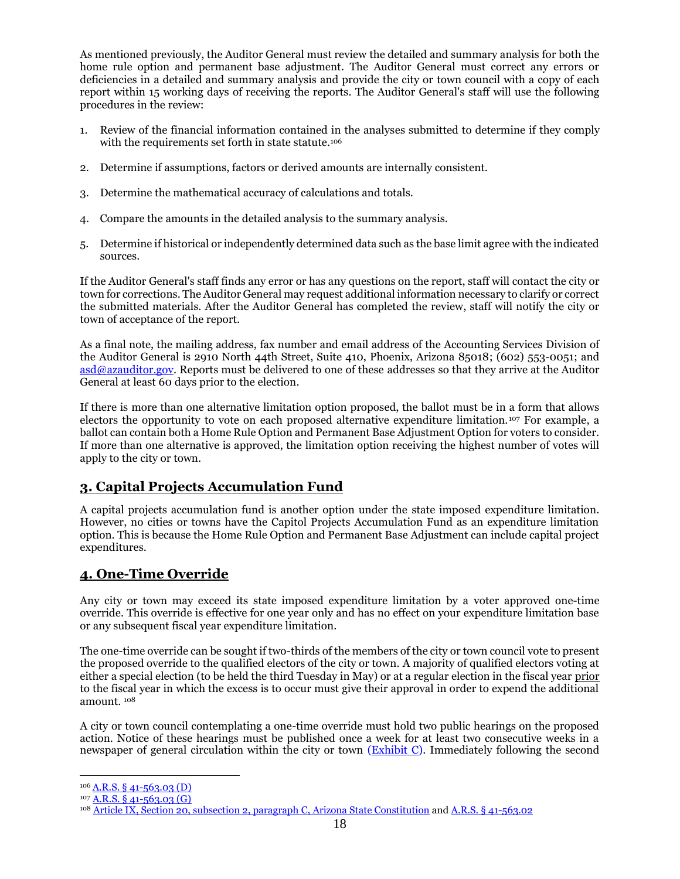As mentioned previously, the Auditor General must review the detailed and summary analysis for both the home rule option and permanent base adjustment. The Auditor General must correct any errors or deficiencies in a detailed and summary analysis and provide the city or town council with a copy of each report within 15 working days of receiving the reports. The Auditor General's staff will use the following procedures in the review:

- 1. Review of the financial information contained in the analyses submitted to determine if they comply with the requirements set forth in state statute.<sup>106</sup>
- 2. Determine if assumptions, factors or derived amounts are internally consistent.
- 3. Determine the mathematical accuracy of calculations and totals.
- 4. Compare the amounts in the detailed analysis to the summary analysis.
- 5. Determine if historical or independently determined data such as the base limit agree with the indicated sources.

If the Auditor General's staff finds any error or has any questions on the report, staff will contact the city or town for corrections. The Auditor General may request additional information necessary to clarify or correct the submitted materials. After the Auditor General has completed the review, staff will notify the city or town of acceptance of the report.

As a final note, the mailing address, fax number and email address of the Accounting Services Division of the Auditor General is 2910 North 44th Street, Suite 410, Phoenix, Arizona 85018; (602) 553-0051; and [asd@azauditor.gov.](mailto:asd@azauditor.gov) Reports must be delivered to one of these addresses so that they arrive at the Auditor General at least 60 days prior to the election.

If there is more than one alternative limitation option proposed, the ballot must be in a form that allows electors the opportunity to vote on each proposed alternative expenditure limitation. <sup>107</sup> For example, a ballot can contain both a Home Rule Option and Permanent Base Adjustment Option for voters to consider. If more than one alternative is approved, the limitation option receiving the highest number of votes will apply to the city or town.

## **3. Capital Projects Accumulation Fund**

A capital projects accumulation fund is another option under the state imposed expenditure limitation. However, no cities or towns have the Capitol Projects Accumulation Fund as an expenditure limitation option. This is because the Home Rule Option and Permanent Base Adjustment can include capital project expenditures.

## **4. One-Time Override**

Any city or town may exceed its state imposed expenditure limitation by a voter approved one-time override. This override is effective for one year only and has no effect on your expenditure limitation base or any subsequent fiscal year expenditure limitation.

The one-time override can be sought if two-thirds of the members of the city or town council vote to present the proposed override to the qualified electors of the city or town. A majority of qualified electors voting at either a special election (to be held the third Tuesday in May) or at a regular election in the fiscal year prior to the fiscal year in which the excess is to occur must give their approval in order to expend the additional amount. <sup>108</sup>

A city or town council contemplating a one-time override must hold two public hearings on the proposed action. Notice of these hearings must be published once a week for at least two consecutive weeks in a newspaper of general circulation within the city or town [\(Exhibit C\)](http://leagueaz.org/publications/budg_fin/2015/EXHIBIT_C.pdf). Immediately following the second

 <sup>106</sup> <u>[A.R.S. § 41-563.03 \(D\)](https://www.azleg.gov/viewdocument/?docName=https://www.azleg.gov/ars/41/00563-03.htm)</u>

<sup>107</sup> [A.R.S. § 41-563.03 \(G\)](https://www.azleg.gov/viewdocument/?docName=https://www.azleg.gov/ars/41/00563-03.htm)

<sup>108</sup> [Article IX, Section 20, subsection 2, paragraph](https://www.azleg.gov/viewDocument/?docName=http://www.azleg.gov/const/9/20.htm) C, Arizona State Constitution an[d A.R.S. § 41-563.02](https://www.azleg.gov/viewdocument/?docName=https://www.azleg.gov/ars/41/00563-02.htm)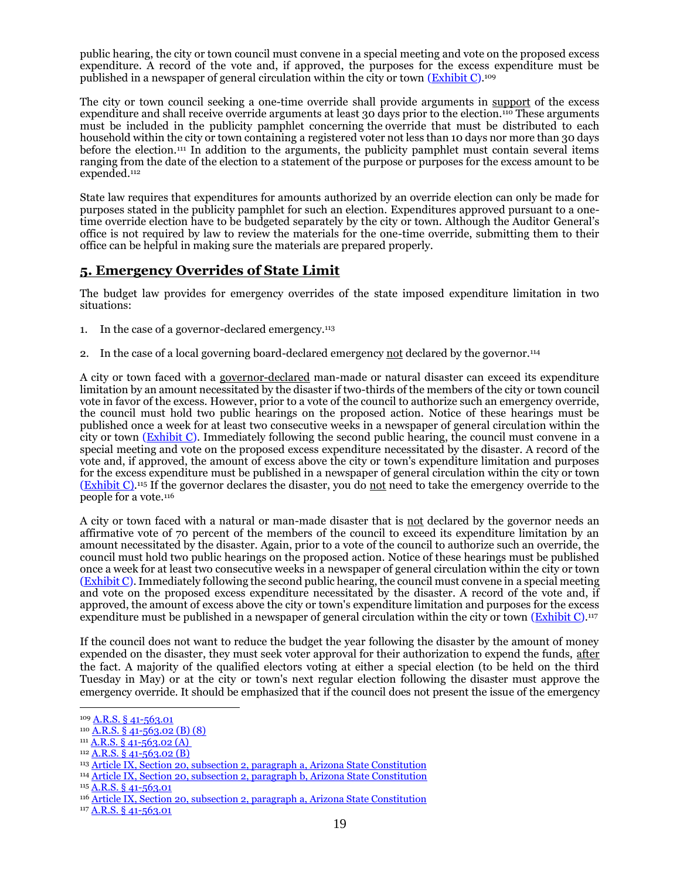public hearing, the city or town council must convene in a special meeting and vote on the proposed excess expenditure. A record of the vote and, if approved, the purposes for the excess expenditure must be published in a newspaper of general circulation within the city or town [\(Exhibit C\)](http://leagueaz.org/publications/budg_fin/2015/EXHIBIT_C.pdf).109

The city or town council seeking a one-time override shall provide arguments in support of the excess expenditure and shall receive override arguments at least 30 days prior to the election.<sup>110</sup> These arguments must be included in the publicity pamphlet concerning the override that must be distributed to each household within the city or town containing a registered voter not less than 10 days nor more than 30 days before the election.<sup>111</sup> In addition to the arguments, the publicity pamphlet must contain several items ranging from the date of the election to a statement of the purpose or purposes for the excess amount to be expended.<sup>112</sup>

State law requires that expenditures for amounts authorized by an override election can only be made for purposes stated in the publicity pamphlet for such an election. Expenditures approved pursuant to a onetime override election have to be budgeted separately by the city or town. Although the Auditor General's office is not required by law to review the materials for the one-time override, submitting them to their office can be helpful in making sure the materials are prepared properly.

#### **5. Emergency Overrides of State Limit**

The budget law provides for emergency overrides of the state imposed expenditure limitation in two situations:

- 1. In the case of a governor-declared emergency.<sup>113</sup>
- 2. In the case of a local governing board-declared emergency not declared by the governor.<sup>114</sup>

A city or town faced with a governor-declared man-made or natural disaster can exceed its expenditure limitation by an amount necessitated by the disaster if two-thirds of the members of the city or town council vote in favor of the excess. However, prior to a vote of the council to authorize such an emergency override, the council must hold two public hearings on the proposed action. Notice of these hearings must be published once a week for at least two consecutive weeks in a newspaper of general circulation within the city or town [\(Exhibit C\)](http://leagueaz.org/publications/budg_fin/2015/EXHIBIT_C.pdf). Immediately following the second public hearing, the council must convene in a special meeting and vote on the proposed excess expenditure necessitated by the disaster. A record of the vote and, if approved, the amount of excess above the city or town's expenditure limitation and purposes for the excess expenditure must be published in a newspaper of general circulation within the city or town  $(Exhibit C)$ .<sup>115</sup> If the governor declares the disaster, you do not need to take the emergency override to the people for a vote.<sup>116</sup>

A city or town faced with a natural or man-made disaster that is not declared by the governor needs an affirmative vote of 70 percent of the members of the council to exceed its expenditure limitation by an amount necessitated by the disaster. Again, prior to a vote of the council to authorize such an override, the council must hold two public hearings on the proposed action. Notice of these hearings must be published once a week for at least two consecutive weeks in a newspaper of general circulation within the city or town [\(Exhibit C\)](http://leagueaz.org/publications/budg_fin/2015/EXHIBIT_C.pdf). Immediately following the second public hearing, the council must convene in a special meeting and vote on the proposed excess expenditure necessitated by the disaster. A record of the vote and, if approved, the amount of excess above the city or town's expenditure limitation and purposes for the excess expenditure must be published in a newspaper of general circulation within the city or town (*Exhibit C*).<sup>117</sup>

If the council does not want to reduce the budget the year following the disaster by the amount of money expended on the disaster, they must seek voter approval for their authorization to expend the funds, after the fact. A majority of the qualified electors voting at either a special election (to be held on the third Tuesday in May) or at the city or town's next regular election following the disaster must approve the emergency override. It should be emphasized that if the council does not present the issue of the emergency

<sup>109</sup> [A.R.S. § 41-563.01](https://www.azleg.gov/viewdocument/?docName=https://www.azleg.gov/ars/41/00563-01.htm)

 $110$   $\underline{A.R.S.}$   $\overline{8}$   $41 - 563.02$  (B) (8)

 $111 \overline{A.R.S. \S 41 - 563.02(A)}$ 

 $112$  [A.R.S. § 41-563.02 \(B\)](https://www.azleg.gov/viewdocument/?docName=https://www.azleg.gov/ars/41/00563-02.htm)

<sup>113</sup> [Article IX, Section 20, subsection 2, paragraph](https://www.azleg.gov/viewDocument/?docName=http://www.azleg.gov/const/9/20.htm) a, Arizona State Constitution

<sup>114</sup> Article [IX, Section 20, subsection 2, paragraph b, Arizona State Constitution](https://www.azleg.gov/viewDocument/?docName=http://www.azleg.gov/const/9/20.htm)

<sup>115</sup> [A.R.S. § 41-563.01](https://www.azleg.gov/viewdocument/?docName=https://www.azleg.gov/ars/41/00563-01.htm)

<sup>&</sup>lt;sup>116</sup> [Article IX, Section 20, subsection 2, paragraph a, Arizona State Constitution](https://www.azleg.gov/viewDocument/?docName=http://www.azleg.gov/const/9/20.htm)

<sup>117</sup> [A.R.S. § 41-563.01](https://www.azleg.gov/viewdocument/?docName=https://www.azleg.gov/ars/41/00563-01.htm)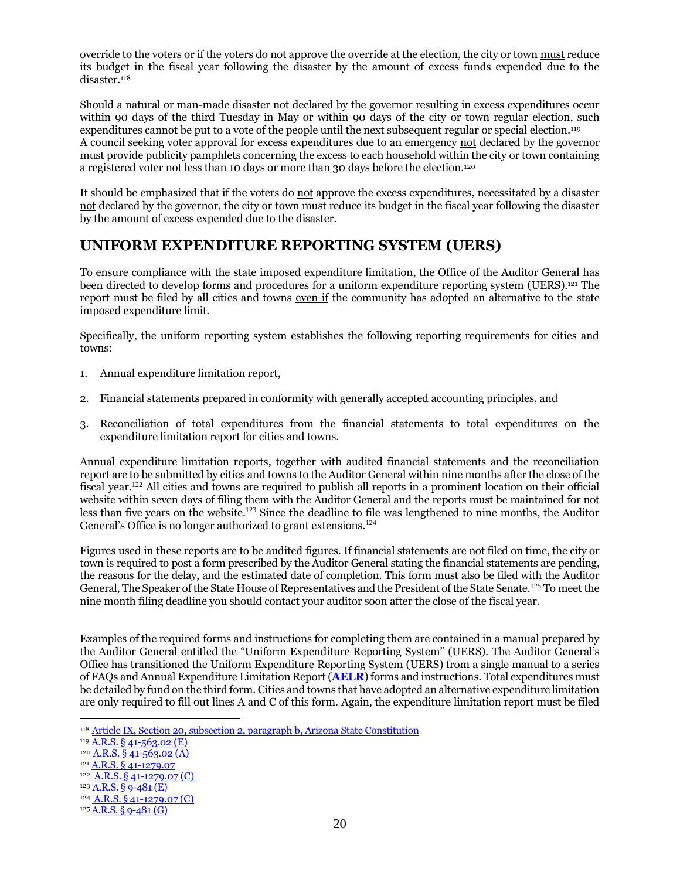override to the voters or if the voters do not approve the override at the election, the city or town must reduce its budget in the fiscal year following the disaster by the amount of excess funds expended due to the disaster.<sup>118</sup>

Should a natural or man-made disaster not declared by the governor resulting in excess expenditures occur within 90 days of the third Tuesday in May or within 90 days of the city or town regular election, such expenditures cannot be put to a vote of the people until the next subsequent regular or special election.<sup>119</sup> A council seeking voter approval for excess expenditures due to an emergency not declared by the governor must provide publicity pamphlets concerning the excess to each household within the city or town containing a registered voter not less than 10 days or more than 30 days before the election.<sup>120</sup>

It should be emphasized that if the voters do not approve the excess expenditures, necessitated by a disaster not declared by the governor, the city or town must reduce its budget in the fiscal year following the disaster by the amount of excess expended due to the disaster.

## **UNIFORM EXPENDITURE REPORTING SYSTEM (UERS)**

To ensure compliance with the state imposed expenditure limitation, the Office of the Auditor General has been directed to develop forms and procedures for a uniform expenditure reporting system (UERS).<sup>121</sup> The report must be filed by all cities and towns even if the community has adopted an alternative to the state imposed expenditure limit.

Specifically, the uniform reporting system establishes the following reporting requirements for cities and towns:

- 1. Annual expenditure limitation report,
- 2. Financial statements prepared in conformity with generally accepted accounting principles, and
- 3. Reconciliation of total expenditures from the financial statements to total expenditures on the expenditure limitation report for cities and towns.

Annual expenditure limitation reports, together with audited financial statements and the reconciliation report are to be submitted by cities and towns to the Auditor General within nine months after the close of the fiscal year.<sup>122</sup> All cities and towns are required to publish all reports in a prominent location on their official website within seven days of filing them with the Auditor General and the reports must be maintained for not less than five years on the website.<sup>123</sup> Since the deadline to file was lengthened to nine months, the Auditor General's Office is no longer authorized to grant extensions.<sup>124</sup>

Figures used in these reports are to be audited figures. If financial statements are not filed on time, the city or town is required to post a form prescribed by the Auditor General stating the financial statements are pending, the reasons for the delay, and the estimated date of completion. This form must also be filed with the Auditor General, The Speaker of the State House of Representatives and the President of the State Senate.<sup>125</sup> To meet the nine month filing deadline you should contact your auditor soon after the close of the fiscal year.

Examples of the required forms and instructions for completing them are contained in a manual prepared by the Auditor General entitled the "Uniform Expenditure Reporting System" (UERS). The Auditor General's Office has transitioned the Uniform Expenditure Reporting System (UERS) from a single manual to a series of FAQs and Annual Expenditure Limitation Report (**[AELR](https://www.azauditor.gov/reports-publications/cities-and-towns/manuals-memorandums)**) forms and instructions. Total expenditures must be detailed by fund on the third form. Cities and towns that have adopted an alternative expenditure limitation are only required to fill out lines A and C of this form. Again, the expenditure limitation report must be filed

<sup>118</sup> [Article IX, Section 20, subsection 2, paragraph b, Arizona State Constitution](https://www.azleg.gov/viewDocument/?docName=http://www.azleg.gov/const/9/20.htm)

<sup>119</sup> A.R.S. § [41-563.02 \(E\)](https://www.azleg.gov/viewdocument/?docName=https://www.azleg.gov/ars/41/00563-02.htm)

<sup>120</sup> A.R.S. § [41-563.02 \(A\)](https://www.azleg.gov/viewdocument/?docName=https://www.azleg.gov/ars/41/00563-02.htm)

<sup>121</sup> A.R.S. § [41-1279.07](https://www.azleg.gov/viewdocument/?docName=https://www.azleg.gov/ars/41/01279-07.htm)

<sup>122</sup> A.R.S. § [41-1279.07](https://www.azleg.gov/viewdocument/?docName=https://www.azleg.gov/ars/41/01279-07.htm) (C)

<sup>123</sup> [A.R.S. § 9-481 \(E\)](https://www.azleg.gov/viewdocument/?docName=https://www.azleg.gov/ars/9/00481.htm)

<sup>124</sup> A.R.S. § [41-1279.07](https://www.azleg.gov/viewdocument/?docName=https://www.azleg.gov/ars/41/01279-07.htm) (C)

 $125$  [A.R.S. § 9-481 \(G\)](https://www.azleg.gov/viewdocument/?docName=https://www.azleg.gov/ars/9/00481.htm)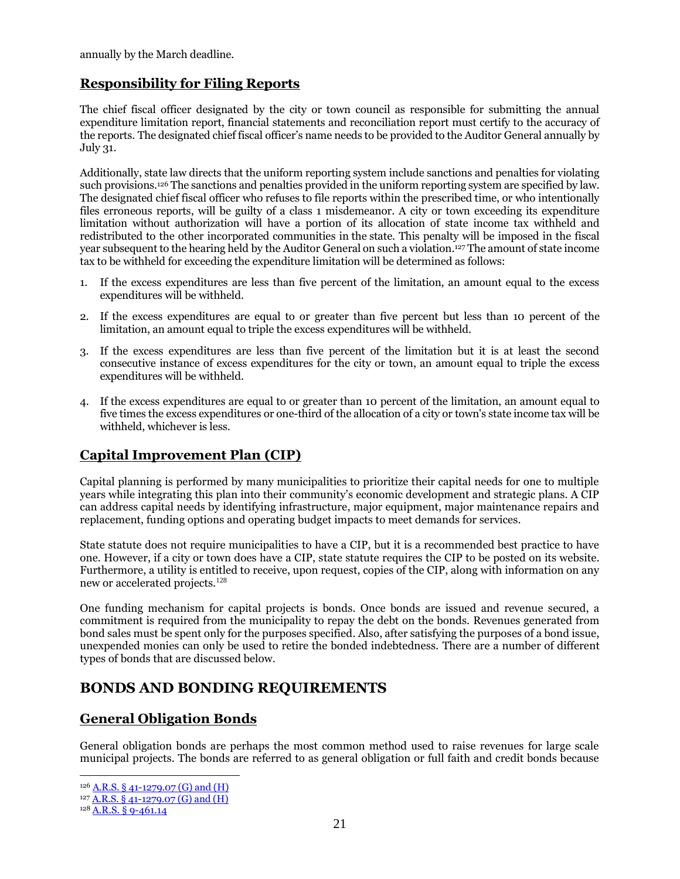annually by the March deadline.

#### **Responsibility for Filing Reports**

The chief fiscal officer designated by the city or town council as responsible for submitting the annual expenditure limitation report, financial statements and reconciliation report must certify to the accuracy of the reports. The designated chief fiscal officer's name needs to be provided to the Auditor General annually by July 31.

Additionally, state law directs that the uniform reporting system include sanctions and penalties for violating such provisions.<sup>126</sup> The sanctions and penalties provided in the uniform reporting system are specified by law. The designated chief fiscal officer who refuses to file reports within the prescribed time, or who intentionally files erroneous reports, will be guilty of a class 1 misdemeanor. A city or town exceeding its expenditure limitation without authorization will have a portion of its allocation of state income tax withheld and redistributed to the other incorporated communities in the state. This penalty will be imposed in the fiscal year subsequent to the hearing held by the Auditor General on such a violation.<sup>127</sup> The amount of state income tax to be withheld for exceeding the expenditure limitation will be determined as follows:

- 1. If the excess expenditures are less than five percent of the limitation, an amount equal to the excess expenditures will be withheld.
- 2. If the excess expenditures are equal to or greater than five percent but less than 10 percent of the limitation, an amount equal to triple the excess expenditures will be withheld.
- 3. If the excess expenditures are less than five percent of the limitation but it is at least the second consecutive instance of excess expenditures for the city or town, an amount equal to triple the excess expenditures will be withheld.
- 4. If the excess expenditures are equal to or greater than 10 percent of the limitation, an amount equal to five times the excess expenditures or one-third of the allocation of a city or town's state income tax will be withheld, whichever is less.

## **Capital Improvement Plan (CIP)**

Capital planning is performed by many municipalities to prioritize their capital needs for one to multiple years while integrating this plan into their community's economic development and strategic plans. A CIP can address capital needs by identifying infrastructure, major equipment, major maintenance repairs and replacement, funding options and operating budget impacts to meet demands for services.

State statute does not require municipalities to have a CIP, but it is a recommended best practice to have one. However, if a city or town does have a CIP, state statute requires the CIP to be posted on its website. Furthermore, a utility is entitled to receive, upon request, copies of the CIP, along with information on any new or accelerated projects.<sup>128</sup>

One funding mechanism for capital projects is bonds. Once bonds are issued and revenue secured, a commitment is required from the municipality to repay the debt on the bonds. Revenues generated from bond sales must be spent only for the purposes specified. Also, after satisfying the purposes of a bond issue, unexpended monies can only be used to retire the bonded indebtedness. There are a number of different types of bonds that are discussed below.

## **BONDS AND BONDING REQUIREMENTS**

## **General Obligation Bonds**

General obligation bonds are perhaps the most common method used to raise revenues for large scale municipal projects. The bonds are referred to as general obligation or full faith and credit bonds because

<sup>126 &</sup>lt;u>[A.R.S. § 41-1279.07 \(G\) and \(H\)](https://www.azleg.gov/viewdocument/?docName=https://www.azleg.gov/ars/41/01279-07.htm)</u>

 $127$  [A.R.S. § 41-1279.07 \(G\) and \(H\)](https://www.azleg.gov/viewdocument/?docName=https://www.azleg.gov/ars/41/01279-07.htm)

<sup>128</sup> [A.R.S. § 9-461.14](https://www.azleg.gov/viewdocument/?docName=https://www.azleg.gov/ars/9/00461-14.htm)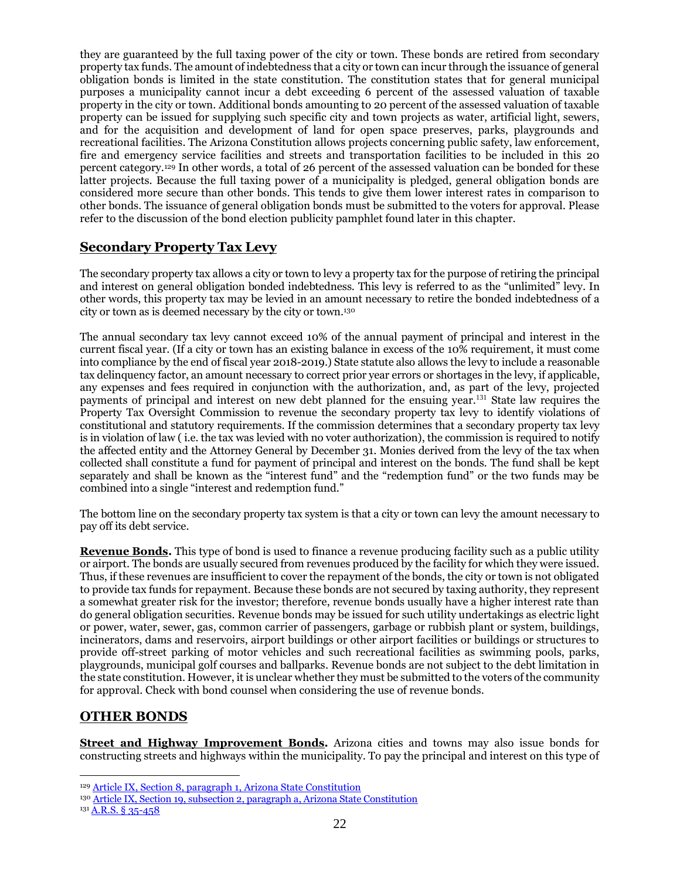they are guaranteed by the full taxing power of the city or town. These bonds are retired from secondary property tax funds. The amount of indebtedness that a city or town can incur through the issuance of general obligation bonds is limited in the state constitution. The constitution states that for general municipal purposes a municipality cannot incur a debt exceeding 6 percent of the assessed valuation of taxable property in the city or town. Additional bonds amounting to 20 percent of the assessed valuation of taxable property can be issued for supplying such specific city and town projects as water, artificial light, sewers, and for the acquisition and development of land for open space preserves, parks, playgrounds and recreational facilities. The Arizona Constitution allows projects concerning public safety, law enforcement, fire and emergency service facilities and streets and transportation facilities to be included in this 20 percent category.<sup>129</sup> In other words, a total of 26 percent of the assessed valuation can be bonded for these latter projects. Because the full taxing power of a municipality is pledged, general obligation bonds are considered more secure than other bonds. This tends to give them lower interest rates in comparison to other bonds. The issuance of general obligation bonds must be submitted to the voters for approval. Please refer to the discussion of the bond election publicity pamphlet found later in this chapter.

#### **Secondary Property Tax Levy**

The secondary property tax allows a city or town to levy a property tax for the purpose of retiring the principal and interest on general obligation bonded indebtedness. This levy is referred to as the "unlimited" levy. In other words, this property tax may be levied in an amount necessary to retire the bonded indebtedness of a city or town as is deemed necessary by the city or town.<sup>130</sup>

The annual secondary tax levy cannot exceed 10% of the annual payment of principal and interest in the current fiscal year. (If a city or town has an existing balance in excess of the 10% requirement, it must come into compliance by the end of fiscal year 2018-2019.) State statute also allows the levy to include a reasonable tax delinquency factor, an amount necessary to correct prior year errors or shortages in the levy, if applicable, any expenses and fees required in conjunction with the authorization, and, as part of the levy, projected payments of principal and interest on new debt planned for the ensuing year.<sup>131</sup> State law requires the Property Tax Oversight Commission to revenue the secondary property tax levy to identify violations of constitutional and statutory requirements. If the commission determines that a secondary property tax levy is in violation of law ( i.e. the tax was levied with no voter authorization), the commission is required to notify the affected entity and the Attorney General by December 31. Monies derived from the levy of the tax when collected shall constitute a fund for payment of principal and interest on the bonds. The fund shall be kept separately and shall be known as the "interest fund" and the "redemption fund" or the two funds may be combined into a single "interest and redemption fund."

The bottom line on the secondary property tax system is that a city or town can levy the amount necessary to pay off its debt service.

**Revenue Bonds.** This type of bond is used to finance a revenue producing facility such as a public utility or airport. The bonds are usually secured from revenues produced by the facility for which they were issued. Thus, if these revenues are insufficient to cover the repayment of the bonds, the city or town is not obligated to provide tax funds for repayment. Because these bonds are not secured by taxing authority, they represent a somewhat greater risk for the investor; therefore, revenue bonds usually have a higher interest rate than do general obligation securities. Revenue bonds may be issued for such utility undertakings as electric light or power, water, sewer, gas, common carrier of passengers, garbage or rubbish plant or system, buildings, incinerators, dams and reservoirs, airport buildings or other airport facilities or buildings or structures to provide off-street parking of motor vehicles and such recreational facilities as swimming pools, parks, playgrounds, municipal golf courses and ballparks. Revenue bonds are not subject to the debt limitation in the state constitution. However, it is unclear whether they must be submitted to the voters of the community for approval. Check with bond counsel when considering the use of revenue bonds.

#### **OTHER BONDS**

**Street and Highway Improvement Bonds.** Arizona cities and towns may also issue bonds for constructing streets and highways within the municipality. To pay the principal and interest on this type of

<sup>&</sup>lt;sup>129</sup> [Article IX, Section 8, paragraph 1, Arizona State Constitution](https://www.azleg.gov/viewDocument/?docName=http://www.azleg.gov/const/9/8.htm)

<sup>130</sup> [Article IX, Section 19, subsection 2, paragraph a, Arizona State Constitution](https://www.azleg.gov/viewDocument/?docName=http://www.azleg.gov/const/9/19.htm)

<sup>131</sup> [A.R.S. § 35-458](https://www.azleg.gov/viewdocument/?docName=https://www.azleg.gov/ars/35/00458.htm)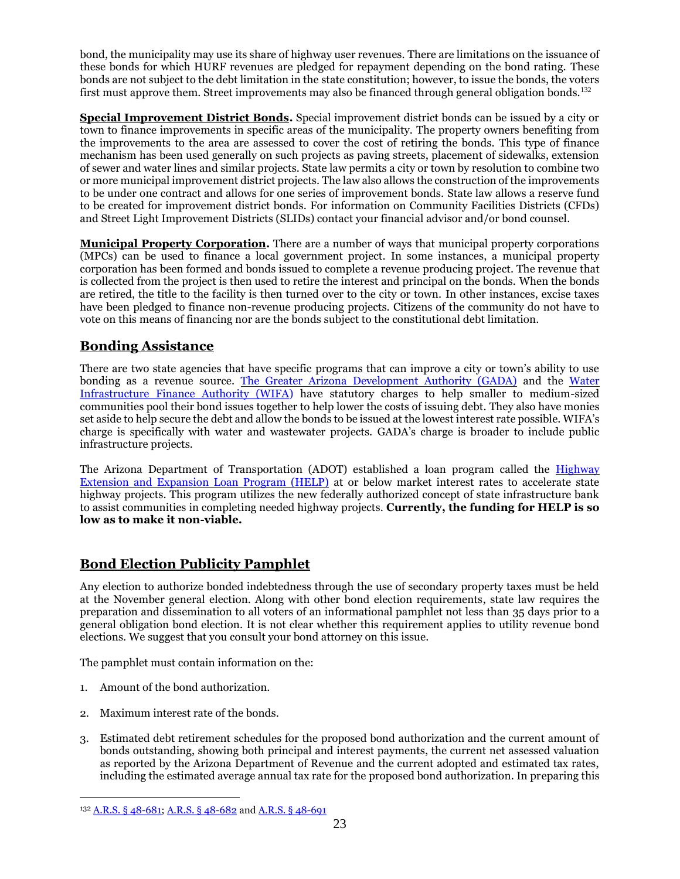bond, the municipality may use its share of highway user revenues. There are limitations on the issuance of these bonds for which HURF revenues are pledged for repayment depending on the bond rating. These bonds are not subject to the debt limitation in the state constitution; however, to issue the bonds, the voters first must approve them. Street improvements may also be financed through general obligation bonds.<sup>132</sup>

**Special Improvement District Bonds.** Special improvement district bonds can be issued by a city or town to finance improvements in specific areas of the municipality. The property owners benefiting from the improvements to the area are assessed to cover the cost of retiring the bonds. This type of finance mechanism has been used generally on such projects as paving streets, placement of sidewalks, extension of sewer and water lines and similar projects. State law permits a city or town by resolution to combine two or more municipal improvement district projects. The law also allows the construction of the improvements to be under one contract and allows for one series of improvement bonds. State law allows a reserve fund to be created for improvement district bonds. For information on Community Facilities Districts (CFDs) and Street Light Improvement Districts (SLIDs) contact your financial advisor and/or bond counsel.

**Municipal Property Corporation.** There are a number of ways that municipal property corporations (MPCs) can be used to finance a local government project. In some instances, a municipal property corporation has been formed and bonds issued to complete a revenue producing project. The revenue that is collected from the project is then used to retire the interest and principal on the bonds. When the bonds are retired, the title to the facility is then turned over to the city or town. In other instances, excise taxes have been pledged to finance non-revenue producing projects. Citizens of the community do not have to vote on this means of financing nor are the bonds subject to the constitutional debt limitation.

## **Bonding Assistance**

There are two state agencies that have specific programs that can improve a city or town's ability to use bonding as a revenue source. [The Greater Arizona Development Authority \(GADA\)](http://www.azgada.gov/) and the [Water](http://www.azwifa.gov/)  [Infrastructure Finance Authority \(WIFA\)](http://www.azwifa.gov/) have statutory charges to help smaller to medium-sized communities pool their bond issues together to help lower the costs of issuing debt. They also have monies set aside to help secure the debt and allow the bonds to be issued at the lowest interest rate possible. WIFA's charge is specifically with water and wastewater projects. GADA's charge is broader to include public infrastructure projects.

The Arizona Department of Transportation (ADOT) established a loan program called the **Highway** [Extension and Expansion Loan Program \(HELP\)](http://azdot.gov/about/FinancialManagementServices/transportation-funding/highway-expansion-and-extension-loan-program) at or below market interest rates to accelerate state highway projects. This program utilizes the new federally authorized concept of state infrastructure bank to assist communities in completing needed highway projects. **Currently, the funding for HELP is so low as to make it non-viable.**

## **Bond Election Publicity Pamphlet**

Any election to authorize bonded indebtedness through the use of secondary property taxes must be held at the November general election. Along with other bond election requirements, state law requires the preparation and dissemination to all voters of an informational pamphlet not less than 35 days prior to a general obligation bond election. It is not clear whether this requirement applies to utility revenue bond elections. We suggest that you consult your bond attorney on this issue.

The pamphlet must contain information on the:

1. Amount of the bond authorization.

- 2. Maximum interest rate of the bonds.
- 3. Estimated debt retirement schedules for the proposed bond authorization and the current amount of bonds outstanding, showing both principal and interest payments, the current net assessed valuation as reported by the Arizona Department of Revenue and the current adopted and estimated tax rates, including the estimated average annual tax rate for the proposed bond authorization. In preparing this

<sup>132</sup> [A.R.S. § 48-681;](https://www.azleg.gov/viewdocument/?docName=https://www.azleg.gov/ars/48/00681.htm) [A.R.S. § 48-682](https://www.azleg.gov/viewdocument/?docName=https://www.azleg.gov/ars/48/00682.htm) and [A.R.S. § 48-691](https://www.azleg.gov/viewdocument/?docName=https://www.azleg.gov/ars/48/00691.htm)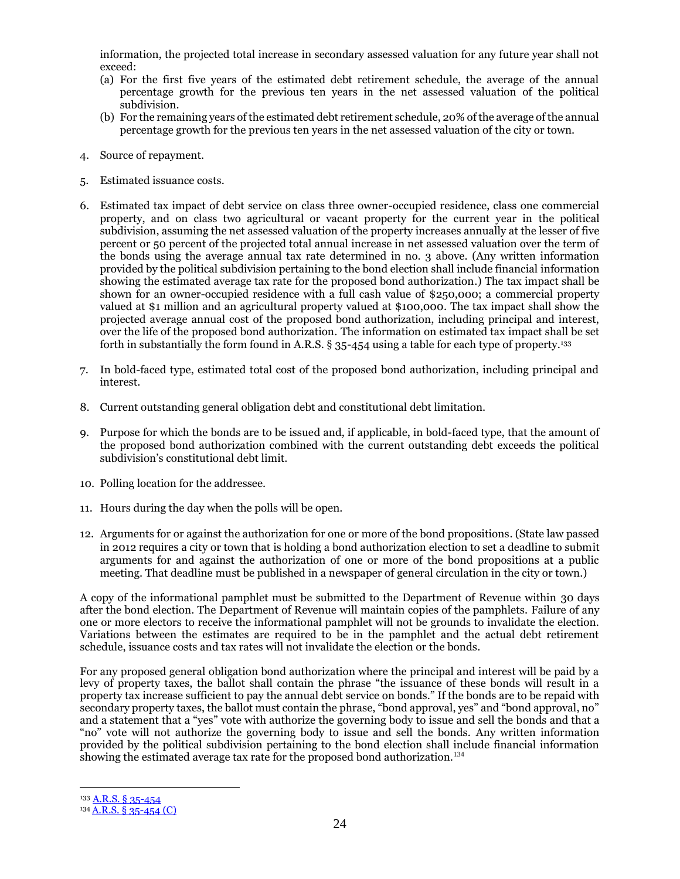information, the projected total increase in secondary assessed valuation for any future year shall not exceed:

- (a) For the first five years of the estimated debt retirement schedule, the average of the annual percentage growth for the previous ten years in the net assessed valuation of the political subdivision.
- (b) For the remaining years of the estimated debt retirement schedule, 20% of the average of the annual percentage growth for the previous ten years in the net assessed valuation of the city or town.
- 4. Source of repayment.
- 5. Estimated issuance costs.
- 6. Estimated tax impact of debt service on class three owner-occupied residence, class one commercial property, and on class two agricultural or vacant property for the current year in the political subdivision, assuming the net assessed valuation of the property increases annually at the lesser of five percent or 50 percent of the projected total annual increase in net assessed valuation over the term of the bonds using the average annual tax rate determined in no. 3 above. (Any written information provided by the political subdivision pertaining to the bond election shall include financial information showing the estimated average tax rate for the proposed bond authorization.) The tax impact shall be shown for an owner-occupied residence with a full cash value of \$250,000; a commercial property valued at \$1 million and an agricultural property valued at \$100,000. The tax impact shall show the projected average annual cost of the proposed bond authorization, including principal and interest, over the life of the proposed bond authorization. The information on estimated tax impact shall be set forth in substantially the form found in A.R.S. § 35-454 using a table for each type of property.<sup>133</sup>
- 7. In bold-faced type, estimated total cost of the proposed bond authorization, including principal and interest.
- 8. Current outstanding general obligation debt and constitutional debt limitation.
- 9. Purpose for which the bonds are to be issued and, if applicable, in bold-faced type, that the amount of the proposed bond authorization combined with the current outstanding debt exceeds the political subdivision's constitutional debt limit.
- 10. Polling location for the addressee.
- 11. Hours during the day when the polls will be open.
- 12. Arguments for or against the authorization for one or more of the bond propositions. (State law passed in 2012 requires a city or town that is holding a bond authorization election to set a deadline to submit arguments for and against the authorization of one or more of the bond propositions at a public meeting. That deadline must be published in a newspaper of general circulation in the city or town.)

A copy of the informational pamphlet must be submitted to the Department of Revenue within 30 days after the bond election. The Department of Revenue will maintain copies of the pamphlets. Failure of any one or more electors to receive the informational pamphlet will not be grounds to invalidate the election. Variations between the estimates are required to be in the pamphlet and the actual debt retirement schedule, issuance costs and tax rates will not invalidate the election or the bonds.

For any proposed general obligation bond authorization where the principal and interest will be paid by a levy of property taxes, the ballot shall contain the phrase "the issuance of these bonds will result in a property tax increase sufficient to pay the annual debt service on bonds." If the bonds are to be repaid with secondary property taxes, the ballot must contain the phrase, "bond approval, yes" and "bond approval, no" and a statement that a "yes" vote with authorize the governing body to issue and sell the bonds and that a "no" vote will not authorize the governing body to issue and sell the bonds. Any written information provided by the political subdivision pertaining to the bond election shall include financial information showing the estimated average tax rate for the proposed bond authorization.<sup>134</sup>

<sup>133</sup> [A.R.S. § 35-454](https://www.azleg.gov/viewdocument/?docName=https://www.azleg.gov/ars/35/00454.htm)

<sup>134</sup> A.R.S. § [35-454 \(C\)](https://www.azleg.gov/viewdocument/?docName=https://www.azleg.gov/ars/35/00454.htm)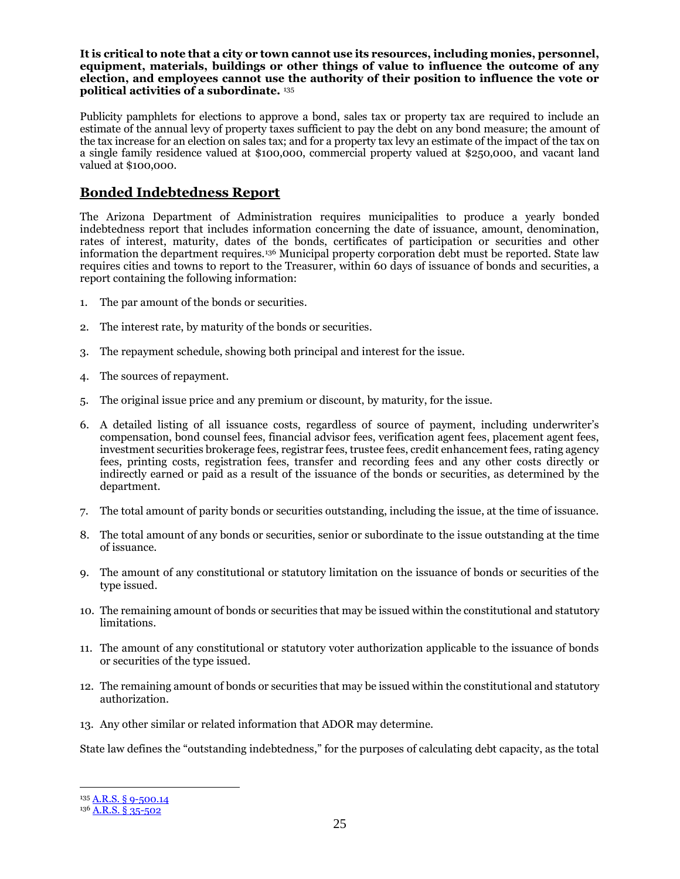**It is critical to note that a city or town cannot use its resources, including monies, personnel, equipment, materials, buildings or other things of value to influence the outcome of any election, and employees cannot use the authority of their position to influence the vote or political activities of a subordinate.** <sup>135</sup>

Publicity pamphlets for elections to approve a bond, sales tax or property tax are required to include an estimate of the annual levy of property taxes sufficient to pay the debt on any bond measure; the amount of the tax increase for an election on sales tax; and for a property tax levy an estimate of the impact of the tax on a single family residence valued at \$100,000, commercial property valued at \$250,000, and vacant land valued at \$100,000.

#### **Bonded Indebtedness Report**

The Arizona Department of Administration requires municipalities to produce a yearly bonded indebtedness report that includes information concerning the date of issuance, amount, denomination, rates of interest, maturity, dates of the bonds, certificates of participation or securities and other information the department requires.<sup>136</sup> Municipal property corporation debt must be reported. State law requires cities and towns to report to the Treasurer, within 60 days of issuance of bonds and securities, a report containing the following information:

- 1. The par amount of the bonds or securities.
- 2. The interest rate, by maturity of the bonds or securities.
- 3. The repayment schedule, showing both principal and interest for the issue.
- 4. The sources of repayment.
- 5. The original issue price and any premium or discount, by maturity, for the issue.
- 6. A detailed listing of all issuance costs, regardless of source of payment, including underwriter's compensation, bond counsel fees, financial advisor fees, verification agent fees, placement agent fees, investment securities brokerage fees, registrar fees, trustee fees, credit enhancement fees, rating agency fees, printing costs, registration fees, transfer and recording fees and any other costs directly or indirectly earned or paid as a result of the issuance of the bonds or securities, as determined by the department.
- 7. The total amount of parity bonds or securities outstanding, including the issue, at the time of issuance.
- 8. The total amount of any bonds or securities, senior or subordinate to the issue outstanding at the time of issuance.
- 9. The amount of any constitutional or statutory limitation on the issuance of bonds or securities of the type issued.
- 10. The remaining amount of bonds or securities that may be issued within the constitutional and statutory limitations.
- 11. The amount of any constitutional or statutory voter authorization applicable to the issuance of bonds or securities of the type issued.
- 12. The remaining amount of bonds or securities that may be issued within the constitutional and statutory authorization.
- 13. Any other similar or related information that ADOR may determine.

State law defines the "outstanding indebtedness," for the purposes of calculating debt capacity, as the total

<sup>135</sup> A.R.S. § [9-500.14](https://www.azleg.gov/viewdocument/?docName=https://www.azleg.gov/ars/9/00500-14.htm)

<sup>136</sup> [A.R.S. § 35-502](https://www.azleg.gov/viewdocument/?docName=https://www.azleg.gov/ars/35/00502.htm)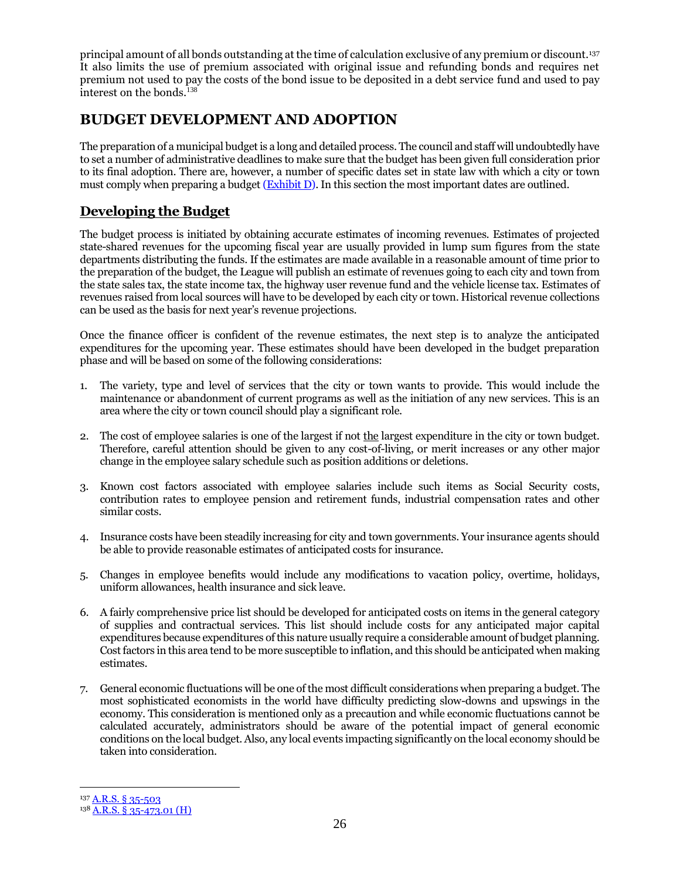principal amount of all bonds outstanding at the time of calculation exclusive of any premium or discount.<sup>137</sup> It also limits the use of premium associated with original issue and refunding bonds and requires net premium not used to pay the costs of the bond issue to be deposited in a debt service fund and used to pay interest on the bonds.<sup>138</sup>

## **BUDGET DEVELOPMENT AND ADOPTION**

The preparation of a municipal budget is a long and detailed process. The council and staff will undoubtedly have to set a number of administrative deadlines to make sure that the budget has been given full consideration prior to its final adoption. There are, however, a number of specific dates set in state law with which a city or town must comply when preparing a budget [\(Exhibit](http://leagueaz.org/publications/budg_fin/2015/EXHIBIT_D.pdf) D). In this section the most important dates are outlined.

## **Developing the Budget**

The budget process is initiated by obtaining accurate estimates of incoming revenues. Estimates of projected state-shared revenues for the upcoming fiscal year are usually provided in lump sum figures from the state departments distributing the funds. If the estimates are made available in a reasonable amount of time prior to the preparation of the budget, the League will publish an estimate of revenues going to each city and town from the state sales tax, the state income tax, the highway user revenue fund and the vehicle license tax. Estimates of revenues raised from local sources will have to be developed by each city or town. Historical revenue collections can be used as the basis for next year's revenue projections.

Once the finance officer is confident of the revenue estimates, the next step is to analyze the anticipated expenditures for the upcoming year. These estimates should have been developed in the budget preparation phase and will be based on some of the following considerations:

- 1. The variety, type and level of services that the city or town wants to provide. This would include the maintenance or abandonment of current programs as well as the initiation of any new services. This is an area where the city or town council should play a significant role.
- 2. The cost of employee salaries is one of the largest if not the largest expenditure in the city or town budget. Therefore, careful attention should be given to any cost-of-living, or merit increases or any other major change in the employee salary schedule such as position additions or deletions.
- 3. Known cost factors associated with employee salaries include such items as Social Security costs, contribution rates to employee pension and retirement funds, industrial compensation rates and other similar costs.
- 4. Insurance costs have been steadily increasing for city and town governments. Your insurance agents should be able to provide reasonable estimates of anticipated costs for insurance.
- 5. Changes in employee benefits would include any modifications to vacation policy, overtime, holidays, uniform allowances, health insurance and sick leave.
- 6. A fairly comprehensive price list should be developed for anticipated costs on items in the general category of supplies and contractual services. This list should include costs for any anticipated major capital expenditures because expenditures of this nature usually require a considerable amount of budget planning. Cost factors in this area tend to be more susceptible to inflation, and this should be anticipated when making estimates.
- 7. General economic fluctuations will be one of the most difficult considerations when preparing a budget. The most sophisticated economists in the world have difficulty predicting slow-downs and upswings in the economy. This consideration is mentioned only as a precaution and while economic fluctuations cannot be calculated accurately, administrators should be aware of the potential impact of general economic conditions on the local budget. Also, any local events impacting significantly on the local economy should be taken into consideration.

<sup>137</sup> [A.R.S. § 35-503](https://www.azleg.gov/viewdocument/?docName=https://www.azleg.gov/ars/35/00503.htm)

<sup>138</sup> [A.R.S. § 35-473.01 \(H\)](https://www.azleg.gov/viewdocument/?docName=https://www.azleg.gov/ars/35/00473-01.htm)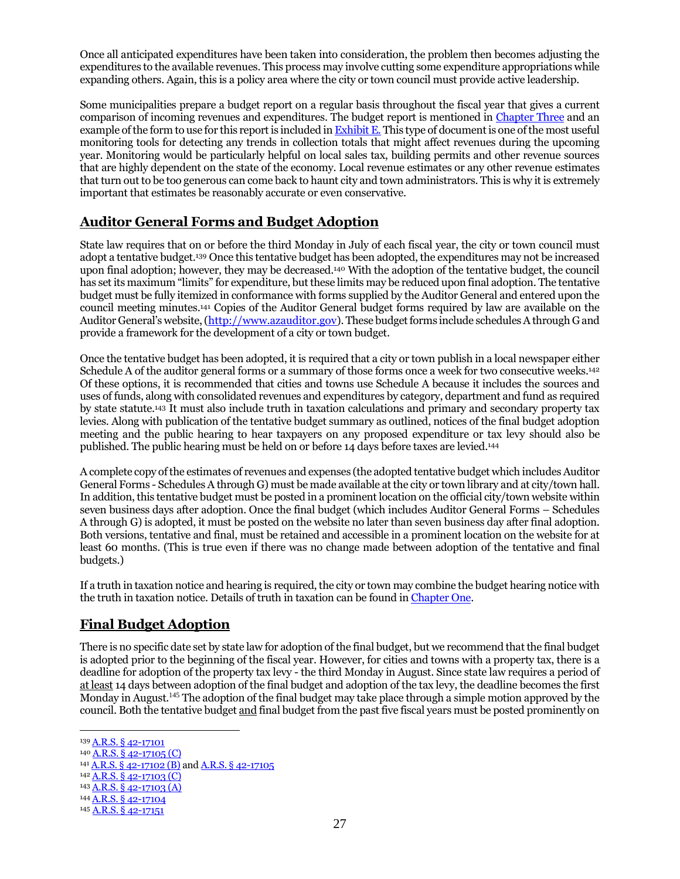Once all anticipated expenditures have been taken into consideration, the problem then becomes adjusting the expenditures to the available revenues. This process may involve cutting some expenditure appropriations while expanding others. Again, this is a policy area where the city or town council must provide active leadership.

Some municipalities prepare a budget report on a regular basis throughout the fiscal year that gives a current comparison of incoming revenues and expenditures. The budget report is mentioned i[n Chapter Three](#page-32-0) and an example of the form to use for this report is included in **Exhibit E**. This type of document is one of the most useful monitoring tools for detecting any trends in collection totals that might affect revenues during the upcoming year. Monitoring would be particularly helpful on local sales tax, building permits and other revenue sources that are highly dependent on the state of the economy. Local revenue estimates or any other revenue estimates that turn out to be too generous can come back to haunt city and town administrators. This is why it is extremely important that estimates be reasonably accurate or even conservative.

## **Auditor General Forms and Budget Adoption**

State law requires that on or before the third Monday in July of each fiscal year, the city or town council must adopt a tentative budget.<sup>139</sup> Once this tentative budget has been adopted, the expenditures may not be increased upon final adoption; however, they may be decreased.<sup>140</sup> With the adoption of the tentative budget, the council has set its maximum "limits" for expenditure, but these limits may be reduced upon final adoption. The tentative budget must be fully itemized in conformance with forms supplied by the Auditor General and entered upon the council meeting minutes.<sup>141</sup> Copies of the Auditor General budget forms required by law are available on the Auditor General's website, [\(http://www.azauditor.gov\)](http://www.azauditor.gov/). These budget forms include schedules A through G and provide a framework for the development of a city or town budget.

Once the tentative budget has been adopted, it is required that a city or town publish in a local newspaper either Schedule A of the auditor general forms or a summary of those forms once a week for two consecutive weeks.<sup>142</sup> Of these options, it is recommended that cities and towns use Schedule A because it includes the sources and uses of funds, along with consolidated revenues and expenditures by category, department and fund as required by state statute. <sup>143</sup> It must also include truth in taxation calculations and primary and secondary property tax levies. Along with publication of the tentative budget summary as outlined, notices of the final budget adoption meeting and the public hearing to hear taxpayers on any proposed expenditure or tax levy should also be published. The public hearing must be held on or before 14 days before taxes are levied. 144

A complete copy of the estimates of revenues and expenses (the adopted tentative budget which includes Auditor General Forms - Schedules A through G) must be made available at the city or town library and at city/town hall. In addition, this tentative budget must be posted in a prominent location on the official city/town website within seven business days after adoption. Once the final budget (which includes Auditor General Forms – Schedules A through G) is adopted, it must be posted on the website no later than seven business day after final adoption. Both versions, tentative and final, must be retained and accessible in a prominent location on the website for at least 60 months. (This is true even if there was no change made between adoption of the tentative and final budgets.)

If a truth in taxation notice and hearing is required, the city or town may combine the budget hearing notice with the truth in taxation notice. Details of truth in taxation can be found i[n Chapter One.](#page-4-0)

## **Final Budget Adoption**

There is no specific date set by state law for adoption of the final budget, but we recommend that the final budget is adopted prior to the beginning of the fiscal year. However, for cities and towns with a property tax, there is a deadline for adoption of the property tax levy - the third Monday in August. Since state law requires a period of at least 14 days between adoption of the final budget and adoption of the tax levy, the deadline becomes the first Monday in August.<sup>145</sup> The adoption of the final budget may take place through a simple motion approved by the council. Both the tentative budget and final budget from the past five fiscal years must be posted prominently on

<sup>139</sup> [A.R.S. § 42-17101](https://www.azleg.gov/viewdocument/?docName=https://www.azleg.gov/ars/42/17101.htm)

<sup>140</sup> [A.R.S. § 42-17105 \(C\)](https://www.azleg.gov/viewdocument/?docName=https://www.azleg.gov/ars/42/17105.htm) <sup>141</sup> [A.R.S. § 42-17102 \(B\)](https://www.azleg.gov/viewdocument/?docName=https://www.azleg.gov/ars/42/17102.htm) and [A.R.S. § 42-17105](https://www.azleg.gov/viewdocument/?docName=https://www.azleg.gov/ars/42/17105.htm)

<sup>142</sup> [A.R.S. § 42-17103 \(C\)](https://www.azleg.gov/viewdocument/?docName=https://www.azleg.gov/ars/42/17103.htm)

<sup>143</sup> [A.R.S. § 42-17103 \(A\)](https://www.azleg.gov/viewdocument/?docName=https://www.azleg.gov/ars/42/17103.htm)

<sup>144</sup> [A.R.S. § 42-17104](https://www.azleg.gov/viewdocument/?docName=https://www.azleg.gov/ars/42/17104.htm)

<sup>145</sup> [A.R.S. § 42-17151](https://www.azleg.gov/viewdocument/?docName=https://www.azleg.gov/ars/42/17151.htm)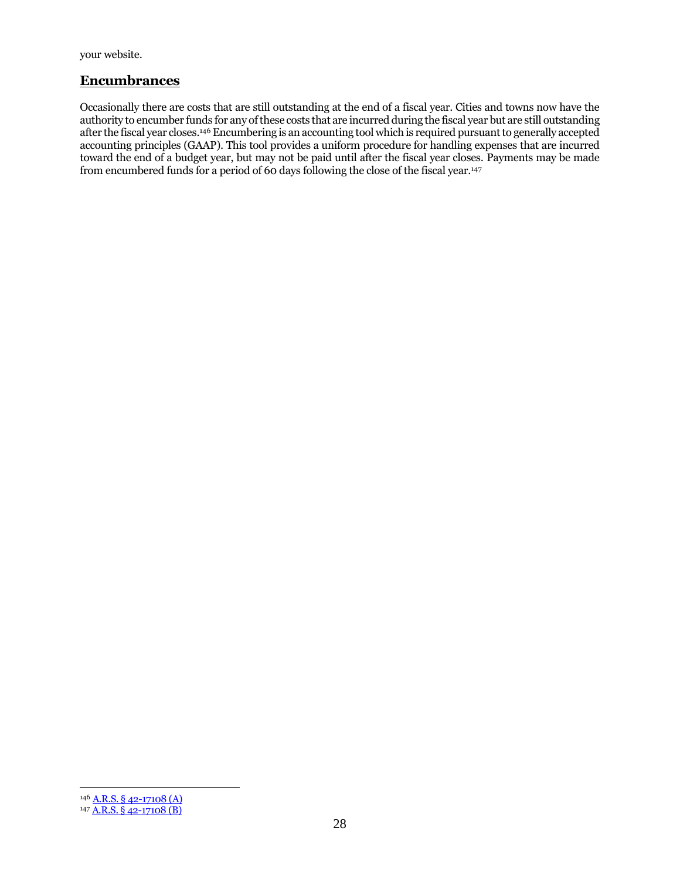<span id="page-31-0"></span>your website.

#### **Encumbrances**

Occasionally there are costs that are still outstanding at the end of a fiscal year. Cities and towns now have the authority to encumber funds for any of these costs that are incurred during the fiscal year but are still outstanding after the fiscal year closes.<sup>146</sup> Encumbering is an accounting tool which is required pursuant to generally accepted accounting principles (GAAP). This tool provides a uniform procedure for handling expenses that are incurred toward the end of a budget year, but may not be paid until after the fiscal year closes. Payments may be made from encumbered funds for a period of 60 days following the close of the fiscal year.<sup>147</sup>

<sup>146</sup> [A.R.S. § 42-17108 \(A\)](https://www.azleg.gov/viewdocument/?docName=https://www.azleg.gov/ars/42/17108.htm)

<sup>147</sup> [A.R.S. § 42-17108 \(B\)](https://www.azleg.gov/viewdocument/?docName=https://www.azleg.gov/ars/42/17108.htm)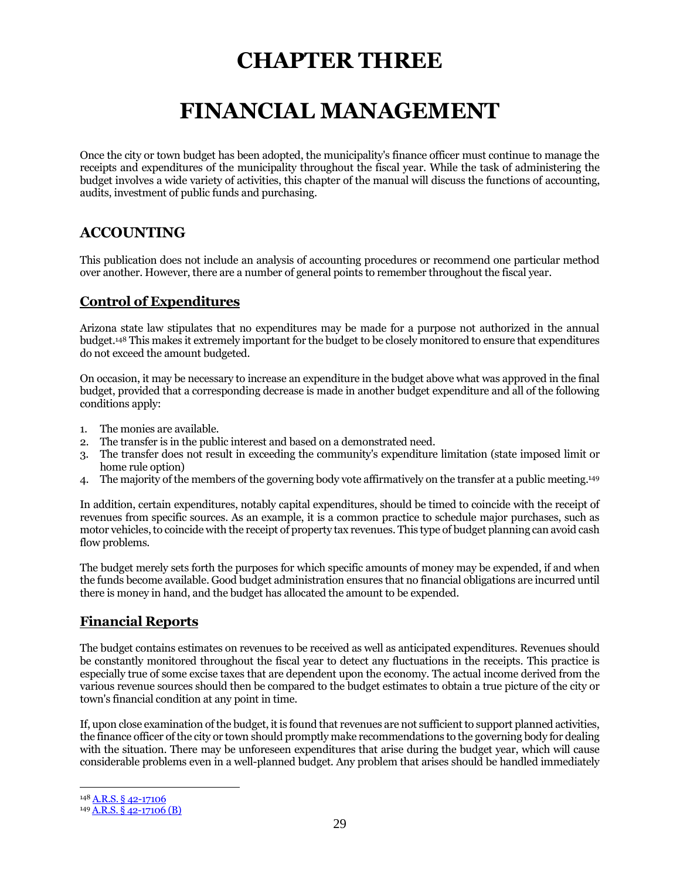## **CHAPTER THREE**

## **FINANCIAL MANAGEMENT**

<span id="page-32-0"></span>Once the city or town budget has been adopted, the municipality's finance officer must continue to manage the receipts and expenditures of the municipality throughout the fiscal year. While the task of administering the budget involves a wide variety of activities, this chapter of the manual will discuss the functions of accounting, audits, investment of public funds and purchasing.

## **ACCOUNTING**

This publication does not include an analysis of accounting procedures or recommend one particular method over another. However, there are a number of general points to remember throughout the fiscal year.

## **Control of Expenditures**

Arizona state law stipulates that no expenditures may be made for a purpose not authorized in the annual budget.<sup>148</sup> This makes it extremely important for the budget to be closely monitored to ensure that expenditures do not exceed the amount budgeted.

On occasion, it may be necessary to increase an expenditure in the budget above what was approved in the final budget, provided that a corresponding decrease is made in another budget expenditure and all of the following conditions apply:

- 1. The monies are available.
- 2. The transfer is in the public interest and based on a demonstrated need.
- 3. The transfer does not result in exceeding the community's expenditure limitation (state imposed limit or home rule option)
- 4. The majority of the members of the governing body vote affirmatively on the transfer at a public meeting.<sup>149</sup>

In addition, certain expenditures, notably capital expenditures, should be timed to coincide with the receipt of revenues from specific sources. As an example, it is a common practice to schedule major purchases, such as motor vehicles, to coincide with the receipt of property tax revenues. This type of budget planning can avoid cash flow problems.

The budget merely sets forth the purposes for which specific amounts of money may be expended, if and when the funds become available. Good budget administration ensures that no financial obligations are incurred until there is money in hand, and the budget has allocated the amount to be expended.

## **Financial Reports**

The budget contains estimates on revenues to be received as well as anticipated expenditures. Revenues should be constantly monitored throughout the fiscal year to detect any fluctuations in the receipts. This practice is especially true of some excise taxes that are dependent upon the economy. The actual income derived from the various revenue sources should then be compared to the budget estimates to obtain a true picture of the city or town's financial condition at any point in time.

If, upon close examination of the budget, it is found that revenues are not sufficient to support planned activities, the finance officer of the city or town should promptly make recommendations to the governing body for dealing with the situation. There may be unforeseen expenditures that arise during the budget year, which will cause considerable problems even in a well-planned budget. Any problem that arises should be handled immediately

<sup>148</sup> [A.R.S. § 42-17106](https://www.azleg.gov/viewdocument/?docName=https://www.azleg.gov/ars/42/17106.htm)

<sup>149</sup> [A.R.S. § 42-17106 \(B\)](https://www.azleg.gov/viewdocument/?docName=https://www.azleg.gov/ars/42/17106.htm)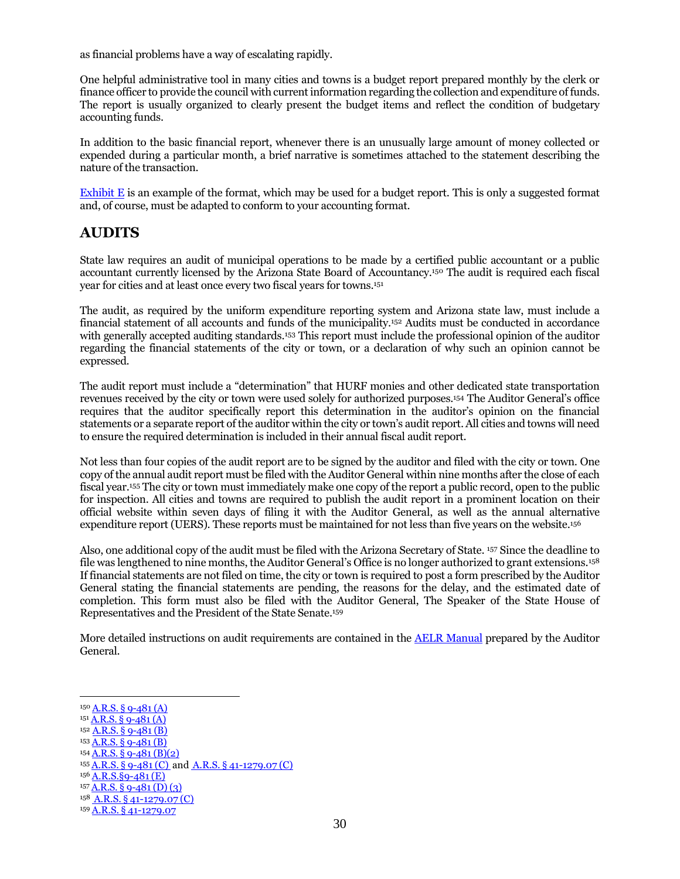as financial problems have a way of escalating rapidly.

One helpful administrative tool in many cities and towns is a budget report prepared monthly by the clerk or finance officer to provide the council with current information regarding the collection and expenditure of funds. The report is usually organized to clearly present the budget items and reflect the condition of budgetary accounting funds.

In addition to the basic financial report, whenever there is an unusually large amount of money collected or expended during a particular month, a brief narrative is sometimes attached to the statement describing the nature of the transaction.

[Exhibit E](http://leagueaz.org/publications/budg_fin/2015/EXHIBIT_E.pdf) is an example of the format, which may be used for a budget report. This is only a suggested format and, of course, must be adapted to conform to your accounting format.

### **AUDITS**

State law requires an audit of municipal operations to be made by a certified public accountant or a public accountant currently licensed by the Arizona State Board of Accountancy.<sup>150</sup> The audit is required each fiscal year for cities and at least once every two fiscal years for towns.<sup>151</sup>

The audit, as required by the uniform expenditure reporting system and Arizona state law, must include a financial statement of all accounts and funds of the municipality.<sup>152</sup> Audits must be conducted in accordance with generally accepted auditing standards.<sup>153</sup> This report must include the professional opinion of the auditor regarding the financial statements of the city or town, or a declaration of why such an opinion cannot be expressed.

The audit report must include a "determination" that HURF monies and other dedicated state transportation revenues received by the city or town were used solely for authorized purposes.<sup>154</sup> The Auditor General's office requires that the auditor specifically report this determination in the auditor's opinion on the financial statements or a separate report of the auditor within the city or town's audit report. All cities and towns will need to ensure the required determination is included in their annual fiscal audit report.

Not less than four copies of the audit report are to be signed by the auditor and filed with the city or town. One copy of the annual audit report must be filed with the Auditor General within nine months after the close of each fiscal year.<sup>155</sup> The city or town must immediately make one copy of the report a public record, open to the public for inspection. All cities and towns are required to publish the audit report in a prominent location on their official website within seven days of filing it with the Auditor General, as well as the annual alternative expenditure report (UERS). These reports must be maintained for not less than five years on the website. 156

Also, one additional copy of the audit must be filed with the Arizona Secretary of State. <sup>157</sup> Since the deadline to file was lengthened to nine months, the Auditor General's Office is no longer authorized to grant extensions.<sup>158</sup> If financial statements are not filed on time, the city or town is required to post a form prescribed by the Auditor General stating the financial statements are pending, the reasons for the delay, and the estimated date of completion. This form must also be filed with the Auditor General, The Speaker of the State House of Representatives and the President of the State Senate.<sup>159</sup>

More detailed instructions on audit requirements are contained in the [AELR Manual](https://www.azauditor.gov/reports-publications/cities-and-towns/manuals-memorandums) prepared by the Auditor General.

- $152$  [A.R.S. § 9-481 \(B\)](https://www.azleg.gov/viewdocument/?docName=https://www.azleg.gov/ars/9/00481.htm)
- $153 \overline{A.R.S. \S 9 481 \(S)}$  $154$  A,R,S, § 9-481 (B)(2)
- 

 $156$  A.R.S. §9-481 (E)

<sup>150</sup> [A.R.S. § 9-481 \(A\)](https://www.azleg.gov/viewdocument/?docName=https://www.azleg.gov/ars/9/00481.htm)

 $151 A.R.S. \S 9 - 481 (A)$ 

<sup>155</sup> [A.R.S.](https://www.azleg.gov/viewdocument/?docName=https://www.azleg.gov/ars/9/00481.htm) § 9-481 (C) and A.R.S. § [41-1279.07](https://www.azleg.gov/viewdocument/?docName=https://www.azleg.gov/ars/41/01279-07.htm) (C)

 $157 \underline{A.R.S.}$  § 9-481 (D) (3) 158 A.R.S. § [41-1279.07](https://www.azleg.gov/viewdocument/?docName=https://www.azleg.gov/ars/41/01279-07.htm) (C)

<sup>159</sup> A.R.S. § [41-1279.07](https://www.azleg.gov/viewdocument/?docName=https://www.azleg.gov/ars/41/01279-07.htm)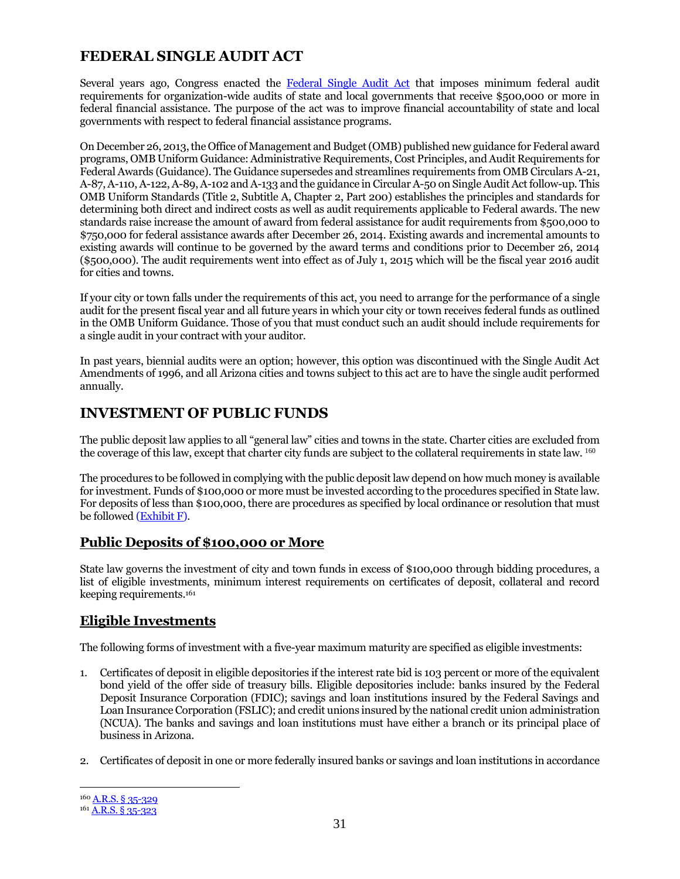## **FEDERAL SINGLE AUDIT ACT**

Several years ago, Congress enacted the [Federal Single Audit Act](http://www.ecfr.gov/cgi-bin/text-idx?node=2:1.1.2.2.1) that imposes minimum federal audit requirements for organization-wide audits of state and local governments that receive \$500,000 or more in federal financial assistance. The purpose of the act was to improve financial accountability of state and local governments with respect to federal financial assistance programs.

On December 26, 2013, the Office of Management and Budget (OMB) published new guidance for Federal award programs, OMB Uniform Guidance: Administrative Requirements, Cost Principles, and Audit Requirements for Federal Awards (Guidance). The Guidance supersedes and streamlines requirements from OMB Circulars A-21, A-87, A-110, A-122, A-89, A-102 and A-133 and the guidance in Circular A-50 on Single Audit Act follow-up. This OMB Uniform Standards (Title 2, Subtitle A, Chapter 2, Part 200) establishes the principles and standards for determining both direct and indirect costs as well as audit requirements applicable to Federal awards. The new standards raise increase the amount of award from federal assistance for audit requirements from \$500,000 to \$750,000 for federal assistance awards after December 26, 2014. Existing awards and incremental amounts to existing awards will continue to be governed by the award terms and conditions prior to December 26, 2014 (\$500,000). The audit requirements went into effect as of July 1, 2015 which will be the fiscal year 2016 audit for cities and towns.

If your city or town falls under the requirements of this act, you need to arrange for the performance of a single audit for the present fiscal year and all future years in which your city or town receives federal funds as outlined in the OMB Uniform Guidance. Those of you that must conduct such an audit should include requirements for a single audit in your contract with your auditor.

In past years, biennial audits were an option; however, this option was discontinued with the Single Audit Act Amendments of 1996, and all Arizona cities and towns subject to this act are to have the single audit performed annually.

## **INVESTMENT OF PUBLIC FUNDS**

The public deposit law applies to all "general law" cities and towns in the state. Charter cities are excluded from the coverage of this law, except that charter city funds are subject to the collateral requirements in state law. <sup>160</sup>

The procedures to be followed in complying with the public deposit law depend on how much money is available for investment. Funds of \$100,000 or more must be invested according to the procedures specified in State law. For deposits of less than \$100,000, there are procedures as specified by local ordinance or resolution that must be followed [\(Exhibit F\)](http://leagueaz.org/publications/budg_fin/2015/EXHIBIT_F.pdf).

#### **Public Deposits of \$100,000 or More**

State law governs the investment of city and town funds in excess of \$100,000 through bidding procedures, a list of eligible investments, minimum interest requirements on certificates of deposit, collateral and record keeping requirements. 161

#### **Eligible Investments**

The following forms of investment with a five-year maximum maturity are specified as eligible investments:

- 1. Certificates of deposit in eligible depositories if the interest rate bid is 103 percent or more of the equivalent bond yield of the offer side of treasury bills. Eligible depositories include: banks insured by the Federal Deposit Insurance Corporation (FDIC); savings and loan institutions insured by the Federal Savings and Loan Insurance Corporation (FSLIC); and credit unions insured by the national credit union administration (NCUA). The banks and savings and loan institutions must have either a branch or its principal place of business in Arizona.
- 2. Certificates of deposit in one or more federally insured banks or savings and loan institutions in accordance

<sup>160</sup> [A.R.S. § 35-329](https://www.azleg.gov/viewdocument/?docName=https://www.azleg.gov/ars/35/00329.htm)

<sup>161</sup> [A.R.S. § 35-323](https://www.azleg.gov/viewdocument/?docName=https://www.azleg.gov/ars/35/00323.htm)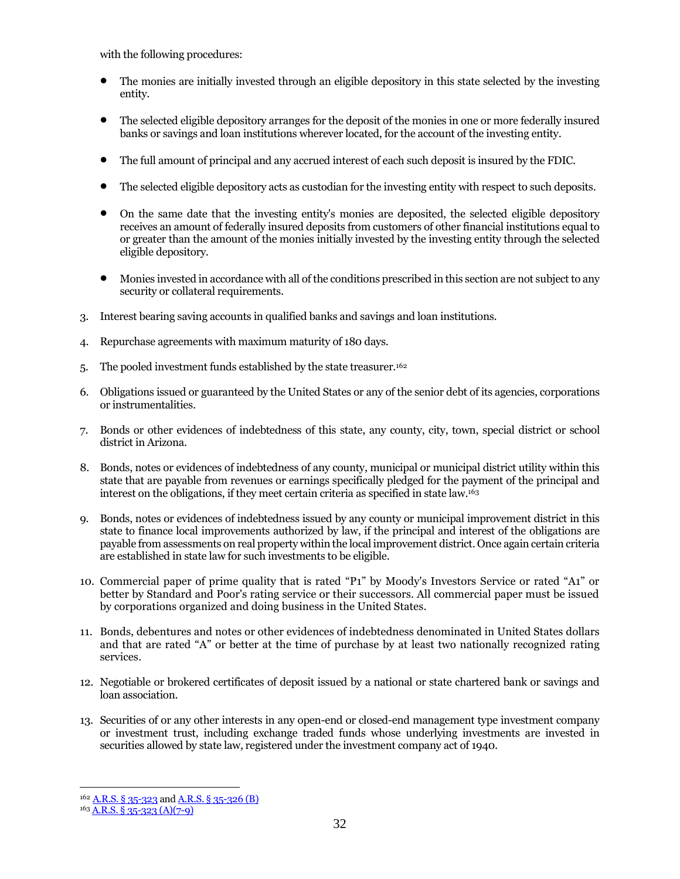with the following procedures:

- The monies are initially invested through an eligible depository in this state selected by the investing entity.
- The selected eligible depository arranges for the deposit of the monies in one or more federally insured banks or savings and loan institutions wherever located, for the account of the investing entity.
- The full amount of principal and any accrued interest of each such deposit is insured by the FDIC.
- The selected eligible depository acts as custodian for the investing entity with respect to such deposits.
- On the same date that the investing entity's monies are deposited, the selected eligible depository receives an amount of federally insured deposits from customers of other financial institutions equal to or greater than the amount of the monies initially invested by the investing entity through the selected eligible depository.
- Monies invested in accordance with all of the conditions prescribed in this section are not subject to any security or collateral requirements.
- 3. Interest bearing saving accounts in qualified banks and savings and loan institutions.
- 4. Repurchase agreements with maximum maturity of 180 days.
- 5. The pooled investment funds established by the state treasurer.<sup>162</sup>
- 6. Obligations issued or guaranteed by the United States or any of the senior debt of its agencies, corporations or instrumentalities.
- 7. Bonds or other evidences of indebtedness of this state, any county, city, town, special district or school district in Arizona.
- 8. Bonds, notes or evidences of indebtedness of any county, municipal or municipal district utility within this state that are payable from revenues or earnings specifically pledged for the payment of the principal and interest on the obligations, if they meet certain criteria as specified in state law.<sup>163</sup>
- 9. Bonds, notes or evidences of indebtedness issued by any county or municipal improvement district in this state to finance local improvements authorized by law, if the principal and interest of the obligations are payable from assessments on real property within the local improvement district. Once again certain criteria are established in state law for such investments to be eligible.
- 10. Commercial paper of prime quality that is rated "P1" by Moody's Investors Service or rated "A1" or better by Standard and Poor's rating service or their successors. All commercial paper must be issued by corporations organized and doing business in the United States.
- 11. Bonds, debentures and notes or other evidences of indebtedness denominated in United States dollars and that are rated "A" or better at the time of purchase by at least two nationally recognized rating services.
- 12. Negotiable or brokered certificates of deposit issued by a national or state chartered bank or savings and loan association.
- 13. Securities of or any other interests in any open-end or closed-end management type investment company or investment trust, including exchange traded funds whose underlying investments are invested in securities allowed by state law, registered under the investment company act of 1940.

<sup>162</sup> [A.R.S. § 35-323](https://www.azleg.gov/viewdocument/?docName=https://www.azleg.gov/ars/35/00323.htm) an[d A.R.S. § 35-326 \(B\)](https://www.azleg.gov/viewdocument/?docName=https://www.azleg.gov/ars/35/00326.htm)

<sup>163</sup> [A.R.S. § 35-323 \(A\)\(7-9\)](https://www.azleg.gov/viewdocument/?docName=https://www.azleg.gov/ars/35/00323.htm)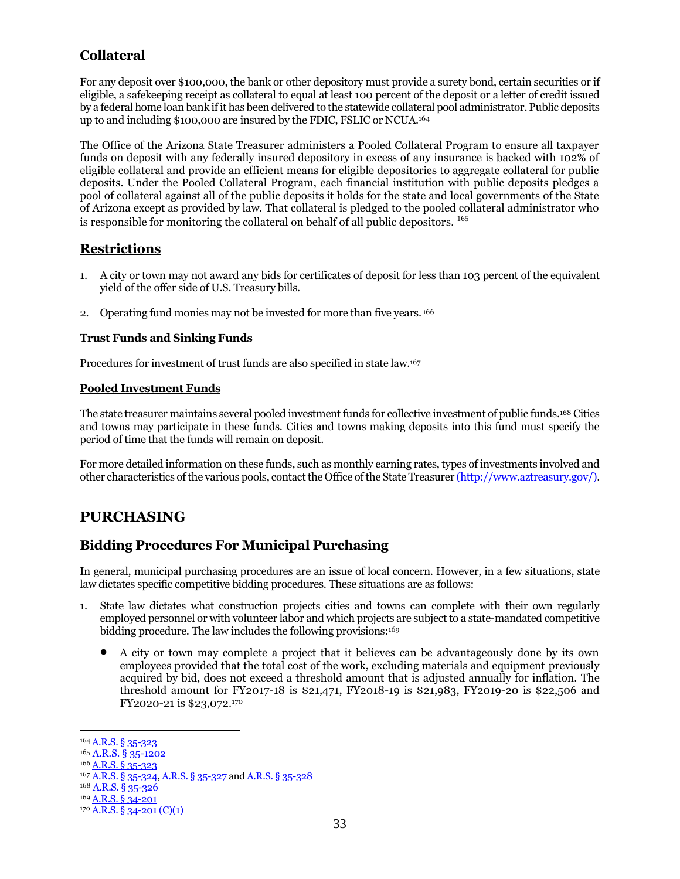## **Collateral**

For any deposit over \$100,000, the bank or other depository must provide a surety bond, certain securities or if eligible, a safekeeping receipt as collateral to equal at least 100 percent of the deposit or a letter of credit issued by a federal home loan bank if it has been delivered to the statewide collateral pool administrator.Public deposits up to and including \$100,000 are insured by the FDIC, FSLIC or NCUA. 164

The Office of the Arizona State Treasurer administers a Pooled Collateral Program to ensure all taxpayer funds on deposit with any federally insured depository in excess of any insurance is backed with 102% of eligible collateral and provide an efficient means for eligible depositories to aggregate collateral for public deposits. Under the Pooled Collateral Program, each financial institution with public deposits pledges a pool of collateral against all of the public deposits it holds for the state and local governments of the State of Arizona except as provided by law. That collateral is pledged to the pooled collateral administrator who is responsible for monitoring the collateral on behalf of all public depositors. 165

#### **Restrictions**

- 1. A city or town may not award any bids for certificates of deposit for less than 103 percent of the equivalent yield of the offer side of U.S. Treasury bills.
- 2. Operating fund monies may not be invested for more than five years. <sup>166</sup>

#### **Trust Funds and Sinking Funds**

Procedures for investment of trust funds are also specified in state law.<sup>167</sup>

#### **Pooled Investment Funds**

The state treasurer maintains several pooled investment funds for collective investment of public funds.<sup>168</sup> Cities and towns may participate in these funds. Cities and towns making deposits into this fund must specify the period of time that the funds will remain on deposit.

For more detailed information on these funds, such as monthly earning rates, types of investments involved and other characteristics of the various pools, contact the Office of the State Treasurer [\(http://www.aztreasury.gov/\)](http://www.aztreasury.gov/).

## **PURCHASING**

## **Bidding Procedures For Municipal Purchasing**

In general, municipal purchasing procedures are an issue of local concern. However, in a few situations, state law dictates specific competitive bidding procedures. These situations are as follows:

- 1. State law dictates what construction projects cities and towns can complete with their own regularly employed personnel or with volunteer labor and which projects are subject to a state-mandated competitive bidding procedure. The law includes the following provisions:<sup>169</sup>
	- A city or town may complete a project that it believes can be advantageously done by its own employees provided that the total cost of the work, excluding materials and equipment previously acquired by bid, does not exceed a threshold amount that is adjusted annually for inflation. The threshold amount for FY2017-18 is \$21,471, FY2018-19 is \$21,983, FY2019-20 is \$22,506 and FY2020-21 is \$23,072. 170

<sup>&</sup>lt;sup>164</sup> [A.R.S. § 35-323](https://www.azleg.gov/viewdocument/?docName=https://www.azleg.gov/ars/35/00323.htm)

<sup>165</sup> A.R.S. § [35-1202](https://www.azleg.gov/viewdocument/?docName=https://www.azleg.gov/ars/35/01202.htm)

<sup>166</sup> [A.R.S. § 35-323](https://www.azleg.gov/viewdocument/?docName=https://www.azleg.gov/ars/35/00323.htm)

<sup>167</sup> [A.R.S. §](https://www.azleg.gov/viewdocument/?docName=https://www.azleg.gov/ars/35/00324.htm) 35-324[, A.R.S. §](https://www.azleg.gov/viewdocument/?docName=https://www.azleg.gov/ars/35/00327.htm) 35-327 and [A.R.S. § 35-328](https://www.azleg.gov/viewdocument/?docName=https://www.azleg.gov/ars/35/00328.htm)

<sup>168</sup> [A.R.S. § 35-326](https://www.azleg.gov/viewdocument/?docName=https://www.azleg.gov/ars/35/00326.htm)

<sup>169</sup> [A.R.S. § 34-201](https://www.azleg.gov/viewdocument/?docName=https://www.azleg.gov/ars/34/00201.htm)

 $170$  [A.R.S. § 34-201 \(C\)\(1\)](https://www.azleg.gov/viewdocument/?docName=https://www.azleg.gov/ars/34/00201.htm)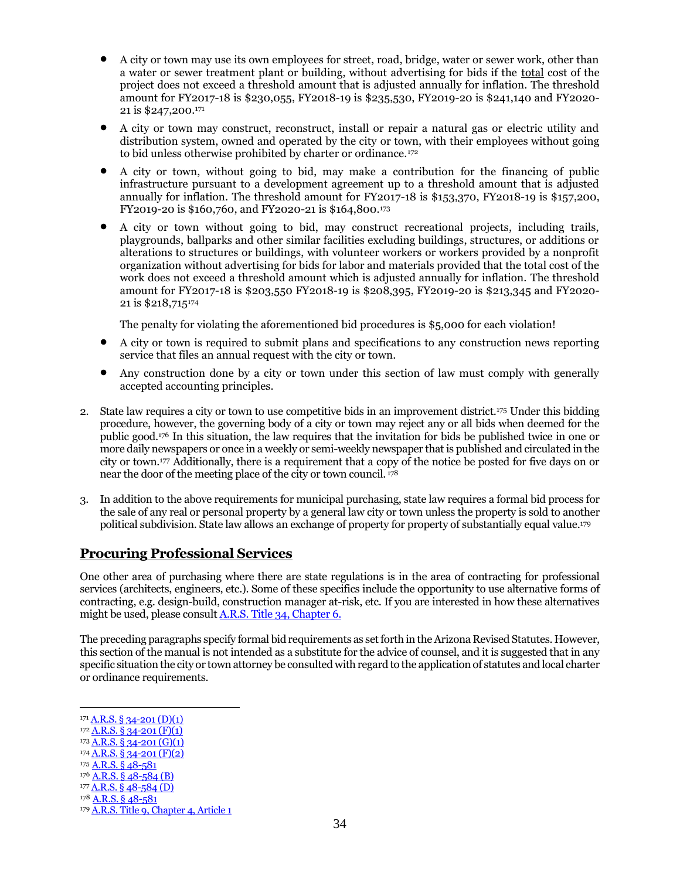- A city or town may use its own employees for street, road, bridge, water or sewer work, other than a water or sewer treatment plant or building, without advertising for bids if the total cost of the project does not exceed a threshold amount that is adjusted annually for inflation. The threshold amount for FY2017-18 is \$230,055, FY2018-19 is \$235,530, FY2019-20 is \$241,140 and FY2020- 21 is \$247,200. 171
- A city or town may construct, reconstruct, install or repair a natural gas or electric utility and distribution system, owned and operated by the city or town, with their employees without going to bid unless otherwise prohibited by charter or ordinance.<sup>172</sup>
- A city or town, without going to bid, may make a contribution for the financing of public infrastructure pursuant to a development agreement up to a threshold amount that is adjusted annually for inflation. The threshold amount for FY2017-18 is \$153,370, FY2018-19 is \$157,200, FY2019-20 is \$160,760, and FY2020-21 is \$164,800. 173
- A city or town without going to bid, may construct recreational projects, including trails, playgrounds, ballparks and other similar facilities excluding buildings, structures, or additions or alterations to structures or buildings, with volunteer workers or workers provided by a nonprofit organization without advertising for bids for labor and materials provided that the total cost of the work does not exceed a threshold amount which is adjusted annually for inflation. The threshold amount for FY2017-18 is \$203,550 FY2018-19 is \$208,395, FY2019-20 is \$213,345 and FY2020- 21 is \$218,715<sup>174</sup>

The penalty for violating the aforementioned bid procedures is \$5,000 for each violation!

- A city or town is required to submit plans and specifications to any construction news reporting service that files an annual request with the city or town.
- Any construction done by a city or town under this section of law must comply with generally accepted accounting principles.
- 2. State law requires a city or town to use competitive bids in an improvement district.<sup>175</sup> Under this bidding procedure, however, the governing body of a city or town may reject any or all bids when deemed for the public good.<sup>176</sup> In this situation, the law requires that the invitation for bids be published twice in one or more daily newspapers or once in a weekly or semi-weekly newspaper that is published and circulated in the city or town.<sup>177</sup> Additionally, there is a requirement that a copy of the notice be posted for five days on or near the door of the meeting place of the city or town council. <sup>178</sup>
- 3. In addition to the above requirements for municipal purchasing, state law requires a formal bid process for the sale of any real or personal property by a general law city or town unless the property is sold to another political subdivision. State law allows an exchange of property for property of substantially equal value.<sup>179</sup>

#### **Procuring Professional Services**

One other area of purchasing where there are state regulations is in the area of contracting for professional services (architects, engineers, etc.). Some of these specifics include the opportunity to use alternative forms of contracting, e.g. design-build, construction manager at-risk, etc. If you are interested in how these alternatives might be used, please consult [A.R.S. Title 34, Chapter 6.](https://www.azleg.gov/arsDetail/?title=34)

The preceding paragraphs specify formal bid requirements as set forth in the Arizona Revised Statutes. However, this section of the manual is not intended as a substitute for the advice of counsel, and it is suggested that in any specific situation the city or town attorney be consulted with regard to the application of statutes and local charter or ordinance requirements.

 $172$   $\overline{A.R.S. \S 34-201 (F)(1)}$ 

 $174$  A,R,S, § 34-201 (F)(2)

 $176$  A.R.S. § 48-584 (B)

 $171$  [A.R.S. § 34-201 \(D\)\(1\)](https://www.azleg.gov/viewdocument/?docName=https://www.azleg.gov/ars/34/00201.htm)

 $173$   $\overline{A.R.S.}$  § 34-201 (G)(1)

<sup>175</sup> [A.R.S. § 48-581](https://www.azleg.gov/viewdocument/?docName=https://www.azleg.gov/ars/48/00581.htm)

<sup>177</sup> [A.R.S. § 48-584 \(D\)](https://www.azleg.gov/viewdocument/?docName=https://www.azleg.gov/ars/48/00584.htm)

<sup>178</sup> [A.R.S. § 48-581](https://www.azleg.gov/viewdocument/?docName=https://www.azleg.gov/ars/48/00581.htm)

<sup>&</sup>lt;sup>179</sup> [A.R.S. Title 9, Chapter](https://www.azleg.gov/arsDetail/?title=9) 4, Article 1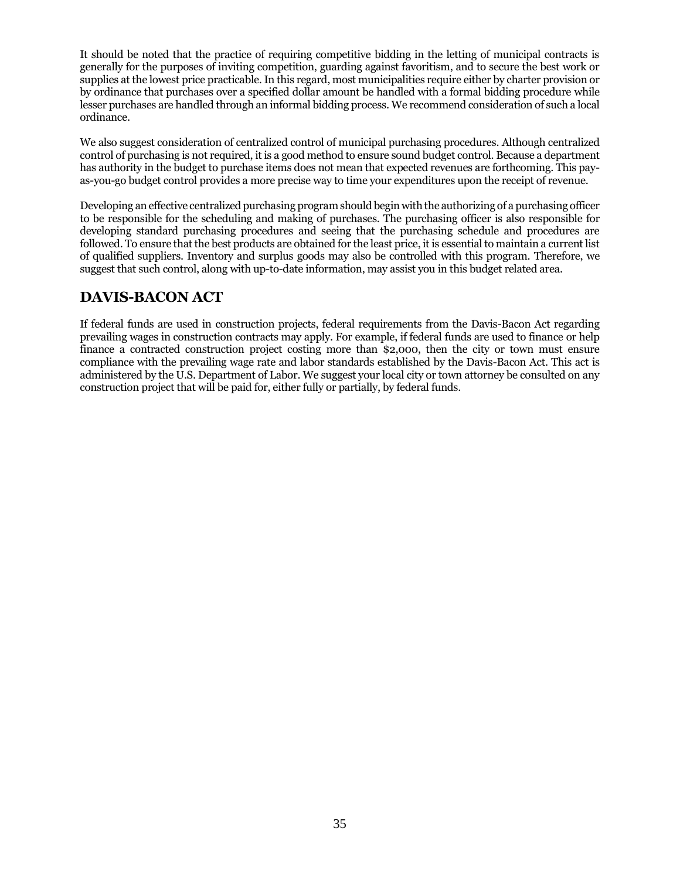It should be noted that the practice of requiring competitive bidding in the letting of municipal contracts is generally for the purposes of inviting competition, guarding against favoritism, and to secure the best work or supplies at the lowest price practicable.In this regard, most municipalities require either by charter provision or by ordinance that purchases over a specified dollar amount be handled with a formal bidding procedure while lesser purchases are handled through an informal bidding process. We recommend consideration of such a local ordinance.

We also suggest consideration of centralized control of municipal purchasing procedures. Although centralized control of purchasing is not required, it is a good method to ensure sound budget control. Because a department has authority in the budget to purchase items does not mean that expected revenues are forthcoming. This payas-you-go budget control provides a more precise way to time your expenditures upon the receipt of revenue.

Developing an effective centralized purchasing program should begin with the authorizing of a purchasing officer to be responsible for the scheduling and making of purchases. The purchasing officer is also responsible for developing standard purchasing procedures and seeing that the purchasing schedule and procedures are followed. To ensure that the best products are obtained for the least price, it is essential to maintain a current list of qualified suppliers. Inventory and surplus goods may also be controlled with this program. Therefore, we suggest that such control, along with up-to-date information, may assist you in this budget related area.

## **DAVIS-BACON ACT**

If federal funds are used in construction projects, federal requirements from the Davis-Bacon Act regarding prevailing wages in construction contracts may apply. For example, if federal funds are used to finance or help finance a contracted construction project costing more than \$2,000, then the city or town must ensure compliance with the prevailing wage rate and labor standards established by the Davis-Bacon Act. This act is administered by the U.S. Department of Labor. We suggest your local city or town attorney be consulted on any construction project that will be paid for, either fully or partially, by federal funds.